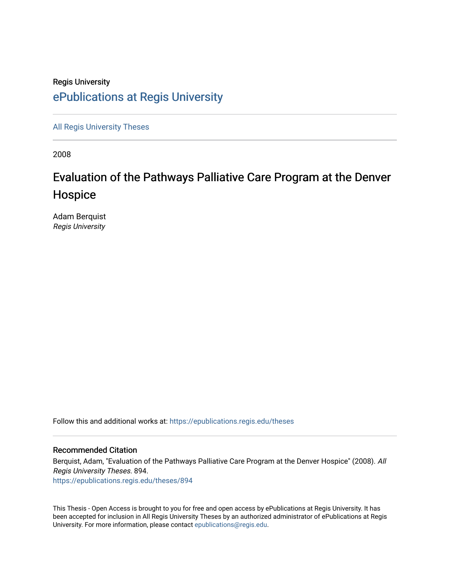## Regis University [ePublications at Regis University](https://epublications.regis.edu/)

[All Regis University Theses](https://epublications.regis.edu/theses)

2008

# Evaluation of the Pathways Palliative Care Program at the Denver Hospice

Adam Berquist Regis University

Follow this and additional works at: [https://epublications.regis.edu/theses](https://epublications.regis.edu/theses?utm_source=epublications.regis.edu%2Ftheses%2F894&utm_medium=PDF&utm_campaign=PDFCoverPages)

#### Recommended Citation

Berquist, Adam, "Evaluation of the Pathways Palliative Care Program at the Denver Hospice" (2008). All Regis University Theses. 894. [https://epublications.regis.edu/theses/894](https://epublications.regis.edu/theses/894?utm_source=epublications.regis.edu%2Ftheses%2F894&utm_medium=PDF&utm_campaign=PDFCoverPages)

This Thesis - Open Access is brought to you for free and open access by ePublications at Regis University. It has been accepted for inclusion in All Regis University Theses by an authorized administrator of ePublications at Regis University. For more information, please contact [epublications@regis.edu.](mailto:epublications@regis.edu)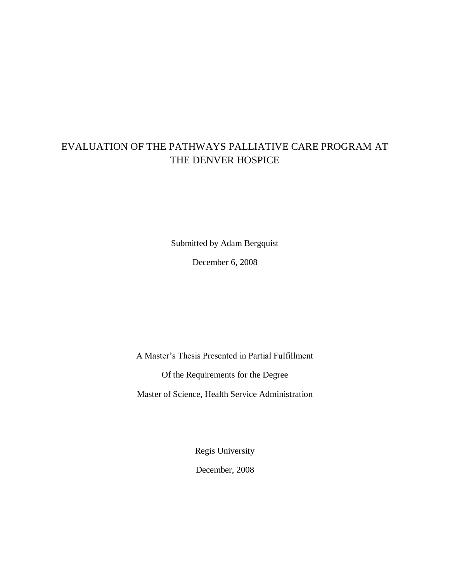## EVALUATION OF THE PATHWAYS PALLIATIVE CARE PROGRAM AT THE DENVER HOSPICE

Submitted by Adam Bergquist

December 6, 2008

A Master's Thesis Presented in Partial Fulfillment Of the Requirements for the Degree

Master of Science, Health Service Administration

Regis University December, 2008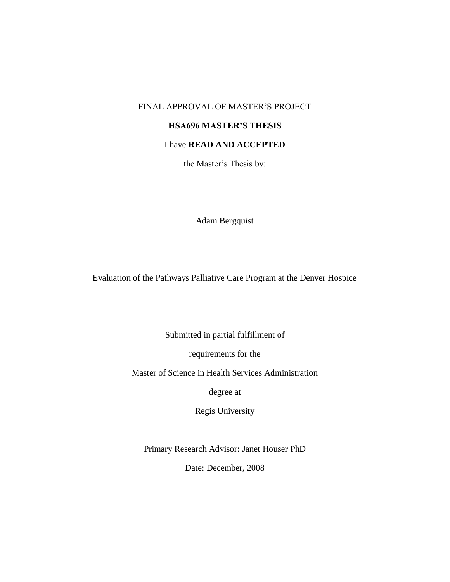## FINAL APPROVAL OF MASTER'S PROJECT

## **HSA696 MASTER'S THESIS**

## I have **READ AND ACCEPTED**

the Master's Thesis by:

Adam Bergquist

Evaluation of the Pathways Palliative Care Program at the Denver Hospice

Submitted in partial fulfillment of

requirements for the

Master of Science in Health Services Administration

degree at

Regis University

Primary Research Advisor: Janet Houser PhD

Date: December, 2008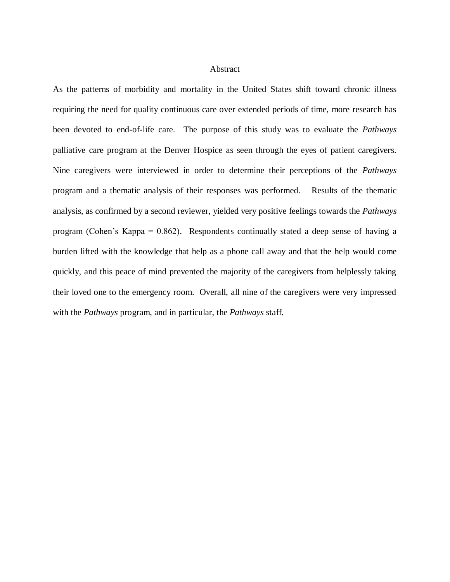### Abstract

As the patterns of morbidity and mortality in the United States shift toward chronic illness requiring the need for quality continuous care over extended periods of time, more research has been devoted to end-of-life care. The purpose of this study was to evaluate the *Pathways* palliative care program at the Denver Hospice as seen through the eyes of patient caregivers. Nine caregivers were interviewed in order to determine their perceptions of the *Pathways* program and a thematic analysis of their responses was performed. Results of the thematic analysis, as confirmed by a second reviewer, yielded very positive feelings towards the *Pathways*  program (Cohen's Kappa = 0.862). Respondents continually stated a deep sense of having a burden lifted with the knowledge that help as a phone call away and that the help would come quickly, and this peace of mind prevented the majority of the caregivers from helplessly taking their loved one to the emergency room. Overall, all nine of the caregivers were very impressed with the *Pathways* program, and in particular, the *Pathways* staff.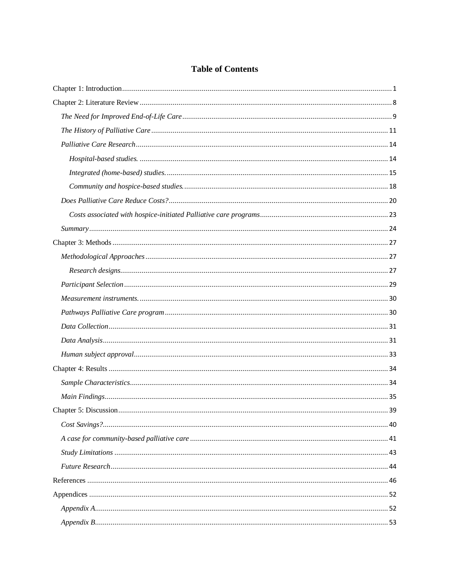## **Table of Contents**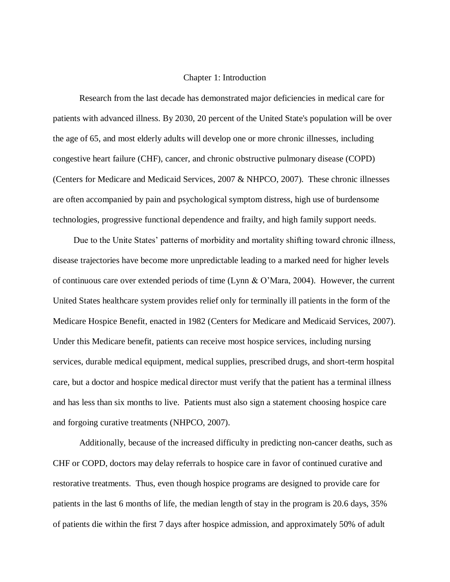#### Chapter 1: Introduction

Research from the last decade has demonstrated major deficiencies in medical care for patients with advanced illness. By 2030, 20 percent of the United State's population will be over the age of 65, and most elderly adults will develop one or more chronic illnesses, including congestive heart failure (CHF), cancer, and chronic obstructive pulmonary disease (COPD) (Centers for Medicare and Medicaid Services, 2007 & NHPCO, 2007). These chronic illnesses are often accompanied by pain and psychological symptom distress, high use of burdensome technologies, progressive functional dependence and frailty, and high family support needs.

Due to the Unite States' patterns of morbidity and mortality shifting toward chronic illness, disease trajectories have become more unpredictable leading to a marked need for higher levels of continuous care over extended periods of time (Lynn & O'Mara, 2004). However, the current United States healthcare system provides relief only for terminally ill patients in the form of the Medicare Hospice Benefit, enacted in 1982 (Centers for Medicare and Medicaid Services, 2007). Under this Medicare benefit, patients can receive most hospice services, including nursing services, durable medical equipment, medical supplies, prescribed drugs, and short-term hospital care, but a doctor and hospice medical director must verify that the patient has a terminal illness and has less than six months to live. Patients must also sign a statement choosing hospice care and forgoing curative treatments (NHPCO, 2007).

Additionally, because of the increased difficulty in predicting non-cancer deaths, such as CHF or COPD, doctors may delay referrals to hospice care in favor of continued curative and restorative treatments. Thus, even though hospice programs are designed to provide care for patients in the last 6 months of life, the median length of stay in the program is 20.6 days, 35% of patients die within the first 7 days after hospice admission, and approximately 50% of adult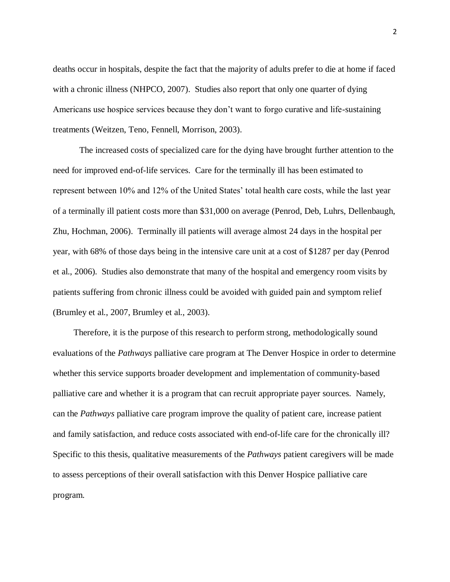deaths occur in hospitals, despite the fact that the majority of adults prefer to die at home if faced with a chronic illness (NHPCO, 2007). Studies also report that only one quarter of dying Americans use hospice services because they don't want to forgo curative and life-sustaining treatments (Weitzen, Teno, Fennell, Morrison, 2003).

The increased costs of specialized care for the dying have brought further attention to the need for improved end-of-life services. Care for the terminally ill has been estimated to represent between 10% and 12% of the United States' total health care costs, while the last year of a terminally ill patient costs more than \$31,000 on average (Penrod, Deb, Luhrs, Dellenbaugh, Zhu, Hochman, 2006). Terminally ill patients will average almost 24 days in the hospital per year, with 68% of those days being in the intensive care unit at a cost of \$1287 per day (Penrod et al., 2006). Studies also demonstrate that many of the hospital and emergency room visits by patients suffering from chronic illness could be avoided with guided pain and symptom relief (Brumley et al., 2007, Brumley et al., 2003).

Therefore, it is the purpose of this research to perform strong, methodologically sound evaluations of the *Pathways* palliative care program at The Denver Hospice in order to determine whether this service supports broader development and implementation of community-based palliative care and whether it is a program that can recruit appropriate payer sources. Namely, can the *Pathways* palliative care program improve the quality of patient care, increase patient and family satisfaction, and reduce costs associated with end-of-life care for the chronically ill? Specific to this thesis, qualitative measurements of the *Pathways* patient caregivers will be made to assess perceptions of their overall satisfaction with this Denver Hospice palliative care program.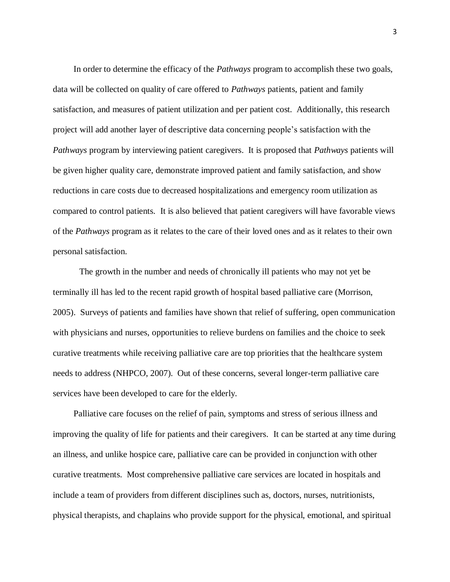In order to determine the efficacy of the *Pathways* program to accomplish these two goals, data will be collected on quality of care offered to *Pathways* patients, patient and family satisfaction, and measures of patient utilization and per patient cost. Additionally, this research project will add another layer of descriptive data concerning people's satisfaction with the *Pathways* program by interviewing patient caregivers. It is proposed that *Pathways* patients will be given higher quality care, demonstrate improved patient and family satisfaction, and show reductions in care costs due to decreased hospitalizations and emergency room utilization as compared to control patients. It is also believed that patient caregivers will have favorable views of the *Pathways* program as it relates to the care of their loved ones and as it relates to their own personal satisfaction.

The growth in the number and needs of chronically ill patients who may not yet be terminally ill has led to the recent rapid growth of hospital based palliative care (Morrison, 2005). Surveys of patients and families have shown that relief of suffering, open communication with physicians and nurses, opportunities to relieve burdens on families and the choice to seek curative treatments while receiving palliative care are top priorities that the healthcare system needs to address (NHPCO, 2007). Out of these concerns, several longer-term palliative care services have been developed to care for the elderly.

Palliative care focuses on the relief of pain, symptoms and stress of serious illness and improving the quality of life for patients and their caregivers. It can be started at any time during an illness, and unlike hospice care, palliative care can be provided in conjunction with other curative treatments. Most comprehensive palliative care services are located in hospitals and include a team of providers from different disciplines such as, doctors, nurses, nutritionists, physical therapists, and chaplains who provide support for the physical, emotional, and spiritual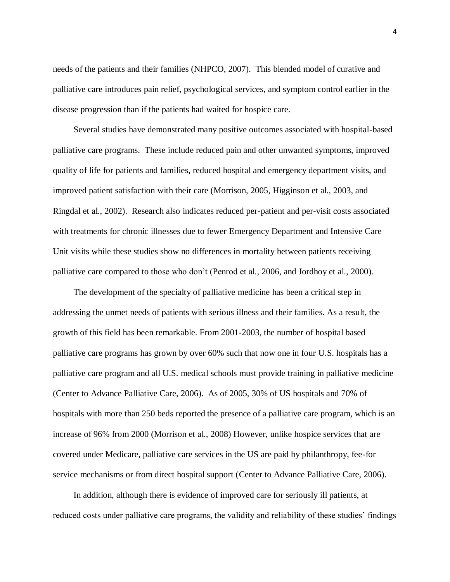needs of the patients and their families (NHPCO, 2007). This blended model of curative and palliative care introduces pain relief, psychological services, and symptom control earlier in the disease progression than if the patients had waited for hospice care.

Several studies have demonstrated many positive outcomes associated with hospital-based palliative care programs. These include reduced pain and other unwanted symptoms, improved quality of life for patients and families, reduced hospital and emergency department visits, and improved patient satisfaction with their care (Morrison, 2005, Higginson et al., 2003, and Ringdal et al., 2002). Research also indicates reduced per-patient and per-visit costs associated with treatments for chronic illnesses due to fewer Emergency Department and Intensive Care Unit visits while these studies show no differences in mortality between patients receiving palliative care compared to those who don't (Penrod et al., 2006, and Jordhoy et al., 2000).

The development of the specialty of palliative medicine has been a critical step in addressing the unmet needs of patients with serious illness and their families. As a result, the growth of this field has been remarkable. From 2001-2003, the number of hospital based palliative care programs has grown by over 60% such that now one in four U.S. hospitals has a palliative care program and all U.S. medical schools must provide training in palliative medicine (Center to Advance Palliative Care, 2006). As of 2005, 30% of US hospitals and 70% of hospitals with more than 250 beds reported the presence of a palliative care program, which is an increase of 96% from 2000 (Morrison et al., 2008) However, unlike hospice services that are covered under Medicare, palliative care services in the US are paid by philanthropy, fee-for service mechanisms or from direct hospital support (Center to Advance Palliative Care, 2006).

In addition, although there is evidence of improved care for seriously ill patients, at reduced costs under palliative care programs, the validity and reliability of these studies' findings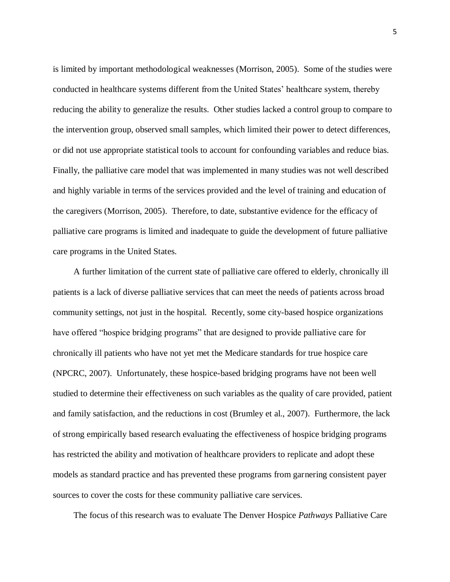is limited by important methodological weaknesses (Morrison, 2005). Some of the studies were conducted in healthcare systems different from the United States' healthcare system, thereby reducing the ability to generalize the results. Other studies lacked a control group to compare to the intervention group, observed small samples, which limited their power to detect differences, or did not use appropriate statistical tools to account for confounding variables and reduce bias. Finally, the palliative care model that was implemented in many studies was not well described and highly variable in terms of the services provided and the level of training and education of the caregivers (Morrison, 2005). Therefore, to date, substantive evidence for the efficacy of palliative care programs is limited and inadequate to guide the development of future palliative care programs in the United States.

A further limitation of the current state of palliative care offered to elderly, chronically ill patients is a lack of diverse palliative services that can meet the needs of patients across broad community settings, not just in the hospital. Recently, some city-based hospice organizations have offered "hospice bridging programs" that are designed to provide palliative care for chronically ill patients who have not yet met the Medicare standards for true hospice care (NPCRC, 2007). Unfortunately, these hospice-based bridging programs have not been well studied to determine their effectiveness on such variables as the quality of care provided, patient and family satisfaction, and the reductions in cost (Brumley et al., 2007). Furthermore, the lack of strong empirically based research evaluating the effectiveness of hospice bridging programs has restricted the ability and motivation of healthcare providers to replicate and adopt these models as standard practice and has prevented these programs from garnering consistent payer sources to cover the costs for these community palliative care services.

The focus of this research was to evaluate The Denver Hospice *Pathways* Palliative Care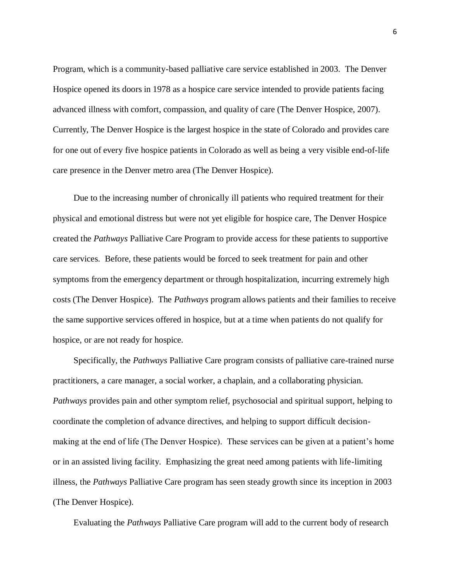Program, which is a community-based palliative care service established in 2003. The Denver Hospice opened its doors in 1978 as a hospice care service intended to provide patients facing advanced illness with comfort, compassion, and quality of care (The Denver Hospice, 2007). Currently, The Denver Hospice is the largest hospice in the state of Colorado and provides care for one out of every five hospice patients in Colorado as well as being a very visible end-of-life care presence in the Denver metro area (The Denver Hospice).

Due to the increasing number of chronically ill patients who required treatment for their physical and emotional distress but were not yet eligible for hospice care, The Denver Hospice created the *Pathways* Palliative Care Program to provide access for these patients to supportive care services. Before, these patients would be forced to seek treatment for pain and other symptoms from the emergency department or through hospitalization, incurring extremely high costs (The Denver Hospice). The *Pathways* program allows patients and their families to receive the same supportive services offered in hospice, but at a time when patients do not qualify for hospice, or are not ready for hospice.

Specifically, the *Pathways* Palliative Care program consists of palliative care-trained nurse practitioners, a care manager, a social worker, a chaplain, and a collaborating physician. *Pathways* provides pain and other symptom relief, psychosocial and spiritual support, helping to coordinate the completion of advance directives, and helping to support difficult decisionmaking at the end of life (The Denver Hospice). These services can be given at a patient's home or in an assisted living facility. Emphasizing the great need among patients with life-limiting illness, the *Pathways* Palliative Care program has seen steady growth since its inception in 2003 (The Denver Hospice).

Evaluating the *Pathways* Palliative Care program will add to the current body of research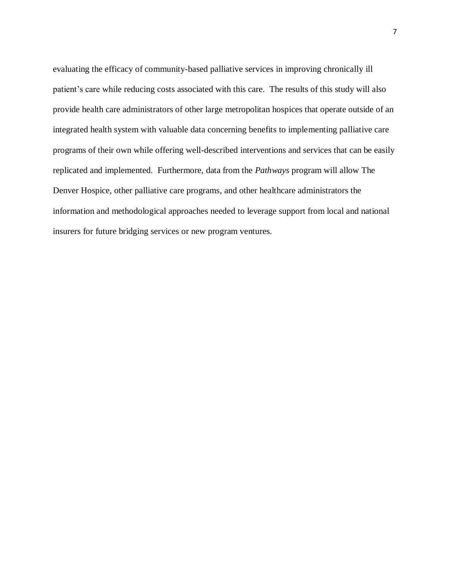evaluating the efficacy of community-based palliative services in improving chronically ill patient's care while reducing costs associated with this care. The results of this study will also provide health care administrators of other large metropolitan hospices that operate outside of an integrated health system with valuable data concerning benefits to implementing palliative care programs of their own while offering well-described interventions and services that can be easily replicated and implemented. Furthermore, data from the *Pathways* program will allow The Denver Hospice, other palliative care programs, and other healthcare administrators the information and methodological approaches needed to leverage support from local and national insurers for future bridging services or new program ventures.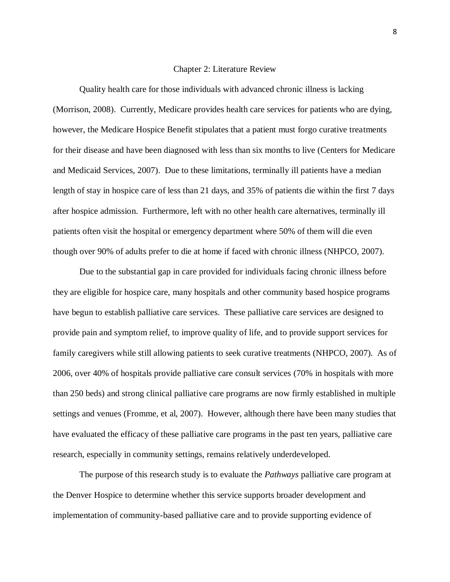#### Chapter 2: Literature Review

Quality health care for those individuals with advanced chronic illness is lacking (Morrison, 2008). Currently, Medicare provides health care services for patients who are dying, however, the Medicare Hospice Benefit stipulates that a patient must forgo curative treatments for their disease and have been diagnosed with less than six months to live (Centers for Medicare and Medicaid Services, 2007). Due to these limitations, terminally ill patients have a median length of stay in hospice care of less than 21 days, and 35% of patients die within the first 7 days after hospice admission. Furthermore, left with no other health care alternatives, terminally ill patients often visit the hospital or emergency department where 50% of them will die even though over 90% of adults prefer to die at home if faced with chronic illness (NHPCO, 2007).

Due to the substantial gap in care provided for individuals facing chronic illness before they are eligible for hospice care, many hospitals and other community based hospice programs have begun to establish palliative care services. These palliative care services are designed to provide pain and symptom relief, to improve quality of life, and to provide support services for family caregivers while still allowing patients to seek curative treatments (NHPCO, 2007). As of 2006, over 40% of hospitals provide palliative care consult services (70% in hospitals with more than 250 beds) and strong clinical palliative care programs are now firmly established in multiple settings and venues (Fromme, et al, 2007). However, although there have been many studies that have evaluated the efficacy of these palliative care programs in the past ten years, palliative care research, especially in community settings, remains relatively underdeveloped.

The purpose of this research study is to evaluate the *Pathways* palliative care program at the Denver Hospice to determine whether this service supports broader development and implementation of community-based palliative care and to provide supporting evidence of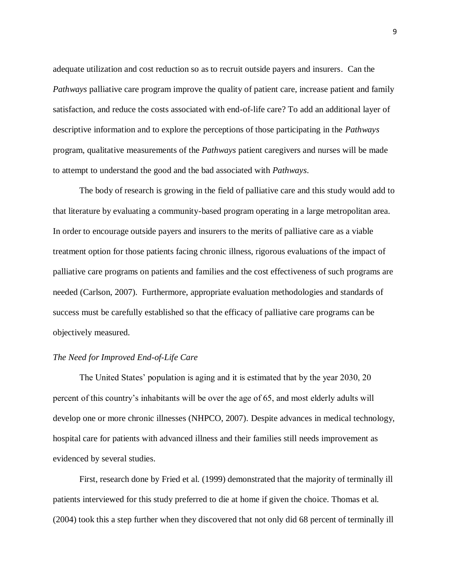adequate utilization and cost reduction so as to recruit outside payers and insurers. Can the *Pathways* palliative care program improve the quality of patient care, increase patient and family satisfaction, and reduce the costs associated with end-of-life care? To add an additional layer of descriptive information and to explore the perceptions of those participating in the *Pathways*  program, qualitative measurements of the *Pathways* patient caregivers and nurses will be made to attempt to understand the good and the bad associated with *Pathways*.

The body of research is growing in the field of palliative care and this study would add to that literature by evaluating a community-based program operating in a large metropolitan area. In order to encourage outside payers and insurers to the merits of palliative care as a viable treatment option for those patients facing chronic illness, rigorous evaluations of the impact of palliative care programs on patients and families and the cost effectiveness of such programs are needed (Carlson, 2007). Furthermore, appropriate evaluation methodologies and standards of success must be carefully established so that the efficacy of palliative care programs can be objectively measured.

#### *The Need for Improved End-of-Life Care*

The United States' population is aging and it is estimated that by the year 2030, 20 percent of this country's inhabitants will be over the age of 65, and most elderly adults will develop one or more chronic illnesses (NHPCO, 2007). Despite advances in medical technology, hospital care for patients with advanced illness and their families still needs improvement as evidenced by several studies.

First, research done by Fried et al. (1999) demonstrated that the majority of terminally ill patients interviewed for this study preferred to die at home if given the choice. Thomas et al. (2004) took this a step further when they discovered that not only did 68 percent of terminally ill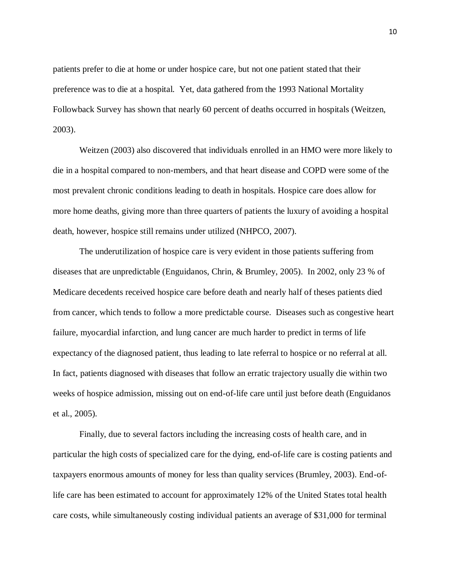patients prefer to die at home or under hospice care, but not one patient stated that their preference was to die at a hospital. Yet, data gathered from the 1993 National Mortality Followback Survey has shown that nearly 60 percent of deaths occurred in hospitals (Weitzen, 2003).

Weitzen (2003) also discovered that individuals enrolled in an HMO were more likely to die in a hospital compared to non-members, and that heart disease and COPD were some of the most prevalent chronic conditions leading to death in hospitals. Hospice care does allow for more home deaths, giving more than three quarters of patients the luxury of avoiding a hospital death, however, hospice still remains under utilized (NHPCO, 2007).

The underutilization of hospice care is very evident in those patients suffering from diseases that are unpredictable (Enguidanos, Chrin, & Brumley, 2005). In 2002, only 23 % of Medicare decedents received hospice care before death and nearly half of theses patients died from cancer, which tends to follow a more predictable course. Diseases such as congestive heart failure, myocardial infarction, and lung cancer are much harder to predict in terms of life expectancy of the diagnosed patient, thus leading to late referral to hospice or no referral at all. In fact, patients diagnosed with diseases that follow an erratic trajectory usually die within two weeks of hospice admission, missing out on end-of-life care until just before death (Enguidanos et al., 2005).

Finally, due to several factors including the increasing costs of health care, and in particular the high costs of specialized care for the dying, end-of-life care is costing patients and taxpayers enormous amounts of money for less than quality services (Brumley, 2003). End-oflife care has been estimated to account for approximately 12% of the United States total health care costs, while simultaneously costing individual patients an average of \$31,000 for terminal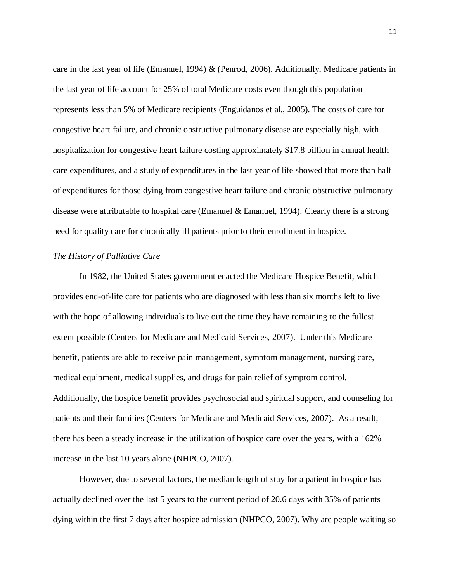care in the last year of life (Emanuel, 1994) & (Penrod, 2006). Additionally, Medicare patients in the last year of life account for 25% of total Medicare costs even though this population represents less than 5% of Medicare recipients (Enguidanos et al., 2005). The costs of care for congestive heart failure, and chronic obstructive pulmonary disease are especially high, with hospitalization for congestive heart failure costing approximately \$17.8 billion in annual health care expenditures, and a study of expenditures in the last year of life showed that more than half of expenditures for those dying from congestive heart failure and chronic obstructive pulmonary disease were attributable to hospital care (Emanuel & Emanuel, 1994). Clearly there is a strong need for quality care for chronically ill patients prior to their enrollment in hospice.

#### *The History of Palliative Care*

In 1982, the United States government enacted the Medicare Hospice Benefit, which provides end-of-life care for patients who are diagnosed with less than six months left to live with the hope of allowing individuals to live out the time they have remaining to the fullest extent possible (Centers for Medicare and Medicaid Services, 2007). Under this Medicare benefit, patients are able to receive pain management, symptom management, nursing care, medical equipment, medical supplies, and drugs for pain relief of symptom control. Additionally, the hospice benefit provides psychosocial and spiritual support, and counseling for patients and their families (Centers for Medicare and Medicaid Services, 2007). As a result, there has been a steady increase in the utilization of hospice care over the years, with a 162% increase in the last 10 years alone (NHPCO, 2007).

However, due to several factors, the median length of stay for a patient in hospice has actually declined over the last 5 years to the current period of 20.6 days with 35% of patients dying within the first 7 days after hospice admission (NHPCO, 2007). Why are people waiting so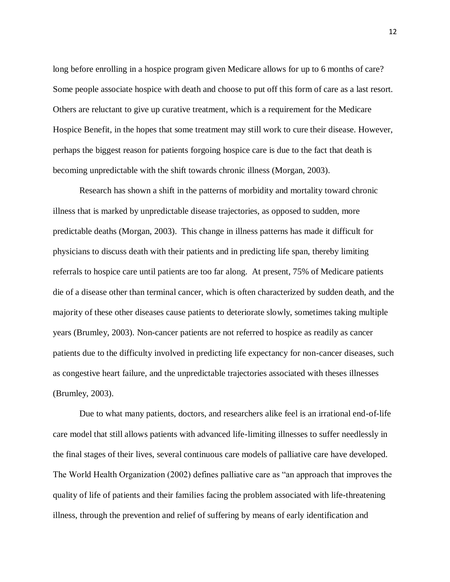long before enrolling in a hospice program given Medicare allows for up to 6 months of care? Some people associate hospice with death and choose to put off this form of care as a last resort. Others are reluctant to give up curative treatment, which is a requirement for the Medicare Hospice Benefit, in the hopes that some treatment may still work to cure their disease. However, perhaps the biggest reason for patients forgoing hospice care is due to the fact that death is becoming unpredictable with the shift towards chronic illness (Morgan, 2003).

Research has shown a shift in the patterns of morbidity and mortality toward chronic illness that is marked by unpredictable disease trajectories, as opposed to sudden, more predictable deaths (Morgan, 2003). This change in illness patterns has made it difficult for physicians to discuss death with their patients and in predicting life span, thereby limiting referrals to hospice care until patients are too far along. At present, 75% of Medicare patients die of a disease other than terminal cancer, which is often characterized by sudden death, and the majority of these other diseases cause patients to deteriorate slowly, sometimes taking multiple years (Brumley, 2003). Non-cancer patients are not referred to hospice as readily as cancer patients due to the difficulty involved in predicting life expectancy for non-cancer diseases, such as congestive heart failure, and the unpredictable trajectories associated with theses illnesses (Brumley, 2003).

Due to what many patients, doctors, and researchers alike feel is an irrational end-of-life care model that still allows patients with advanced life-limiting illnesses to suffer needlessly in the final stages of their lives, several continuous care models of palliative care have developed. The World Health Organization (2002) defines palliative care as "an approach that improves the quality of life of patients and their families facing the problem associated with life-threatening illness, through the prevention and relief of suffering by means of early identification and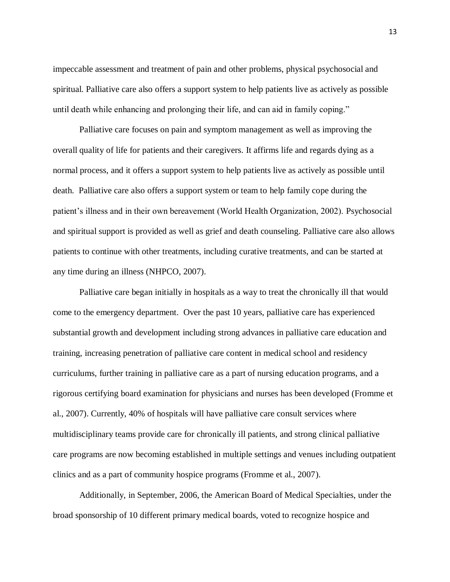impeccable assessment and treatment of pain and other problems, physical psychosocial and spiritual. Palliative care also offers a support system to help patients live as actively as possible until death while enhancing and prolonging their life, and can aid in family coping."

Palliative care focuses on pain and symptom management as well as improving the overall quality of life for patients and their caregivers. It affirms life and regards dying as a normal process, and it offers a support system to help patients live as actively as possible until death. Palliative care also offers a support system or team to help family cope during the patient's illness and in their own bereavement (World Health Organization, 2002). Psychosocial and spiritual support is provided as well as grief and death counseling. Palliative care also allows patients to continue with other treatments, including curative treatments, and can be started at any time during an illness (NHPCO, 2007).

Palliative care began initially in hospitals as a way to treat the chronically ill that would come to the emergency department. Over the past 10 years, palliative care has experienced substantial growth and development including strong advances in palliative care education and training, increasing penetration of palliative care content in medical school and residency curriculums, further training in palliative care as a part of nursing education programs, and a rigorous certifying board examination for physicians and nurses has been developed (Fromme et al., 2007). Currently, 40% of hospitals will have palliative care consult services where multidisciplinary teams provide care for chronically ill patients, and strong clinical palliative care programs are now becoming established in multiple settings and venues including outpatient clinics and as a part of community hospice programs (Fromme et al., 2007).

Additionally, in September, 2006, the American Board of Medical Specialties, under the broad sponsorship of 10 different primary medical boards, voted to recognize hospice and

13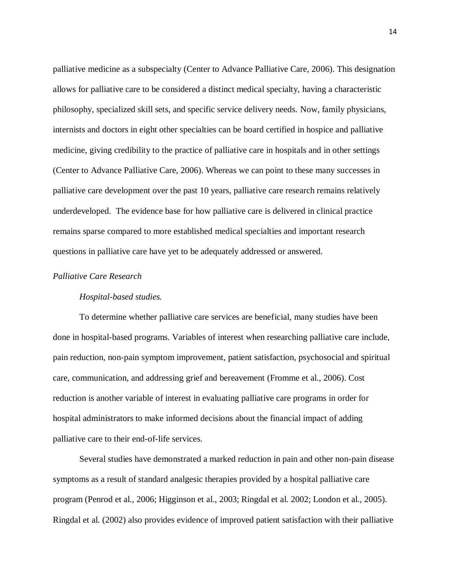palliative medicine as a subspecialty (Center to Advance Palliative Care, 2006). This designation allows for palliative care to be considered a distinct medical specialty, having a characteristic philosophy, specialized skill sets, and specific service delivery needs. Now, family physicians, internists and doctors in eight other specialties can be board certified in hospice and palliative medicine, giving credibility to the practice of palliative care in hospitals and in other settings (Center to Advance Palliative Care, 2006). Whereas we can point to these many successes in palliative care development over the past 10 years, palliative care research remains relatively underdeveloped. The evidence base for how palliative care is delivered in clinical practice remains sparse compared to more established medical specialties and important research questions in palliative care have yet to be adequately addressed or answered.

#### *Palliative Care Research*

#### *Hospital-based studies.*

To determine whether palliative care services are beneficial, many studies have been done in hospital-based programs. Variables of interest when researching palliative care include, pain reduction, non-pain symptom improvement, patient satisfaction, psychosocial and spiritual care, communication, and addressing grief and bereavement (Fromme et al., 2006). Cost reduction is another variable of interest in evaluating palliative care programs in order for hospital administrators to make informed decisions about the financial impact of adding palliative care to their end-of-life services.

Several studies have demonstrated a marked reduction in pain and other non-pain disease symptoms as a result of standard analgesic therapies provided by a hospital palliative care program (Penrod et al., 2006; Higginson et al., 2003; Ringdal et al. 2002; London et al., 2005). Ringdal et al. (2002) also provides evidence of improved patient satisfaction with their palliative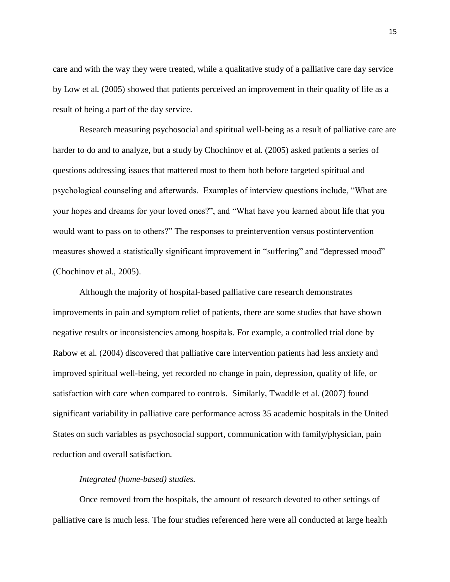care and with the way they were treated, while a qualitative study of a palliative care day service by Low et al. (2005) showed that patients perceived an improvement in their quality of life as a result of being a part of the day service.

Research measuring psychosocial and spiritual well-being as a result of palliative care are harder to do and to analyze, but a study by Chochinov et al. (2005) asked patients a series of questions addressing issues that mattered most to them both before targeted spiritual and psychological counseling and afterwards. Examples of interview questions include, "What are your hopes and dreams for your loved ones?", and "What have you learned about life that you would want to pass on to others?" The responses to preintervention versus postintervention measures showed a statistically significant improvement in "suffering" and "depressed mood" (Chochinov et al., 2005).

Although the majority of hospital-based palliative care research demonstrates improvements in pain and symptom relief of patients, there are some studies that have shown negative results or inconsistencies among hospitals. For example, a controlled trial done by Rabow et al. (2004) discovered that palliative care intervention patients had less anxiety and improved spiritual well-being, yet recorded no change in pain, depression, quality of life, or satisfaction with care when compared to controls. Similarly, Twaddle et al. (2007) found significant variability in palliative care performance across 35 academic hospitals in the United States on such variables as psychosocial support, communication with family/physician, pain reduction and overall satisfaction.

#### *Integrated (home-based) studies.*

Once removed from the hospitals, the amount of research devoted to other settings of palliative care is much less. The four studies referenced here were all conducted at large health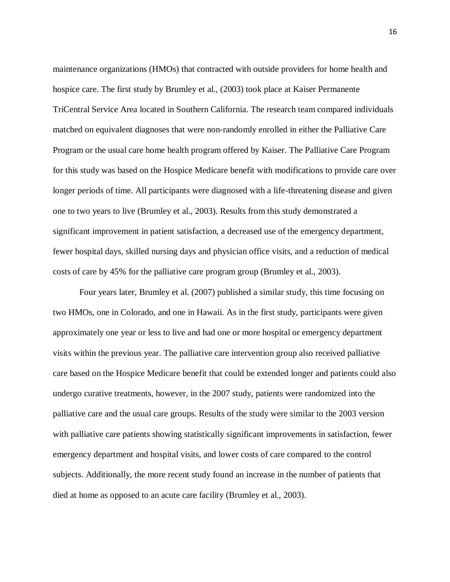maintenance organizations (HMOs) that contracted with outside providers for home health and hospice care. The first study by Brumley et al., (2003) took place at Kaiser Permanente TriCentral Service Area located in Southern California. The research team compared individuals matched on equivalent diagnoses that were non-randomly enrolled in either the Palliative Care Program or the usual care home health program offered by Kaiser. The Palliative Care Program for this study was based on the Hospice Medicare benefit with modifications to provide care over longer periods of time. All participants were diagnosed with a life-threatening disease and given one to two years to live (Brumley et al., 2003). Results from this study demonstrated a significant improvement in patient satisfaction, a decreased use of the emergency department, fewer hospital days, skilled nursing days and physician office visits, and a reduction of medical costs of care by 45% for the palliative care program group (Brumley et al., 2003).

Four years later, Brumley et al. (2007) published a similar study, this time focusing on two HMOs, one in Colorado, and one in Hawaii. As in the first study, participants were given approximately one year or less to live and had one or more hospital or emergency department visits within the previous year. The palliative care intervention group also received palliative care based on the Hospice Medicare benefit that could be extended longer and patients could also undergo curative treatments, however, in the 2007 study, patients were randomized into the palliative care and the usual care groups. Results of the study were similar to the 2003 version with palliative care patients showing statistically significant improvements in satisfaction, fewer emergency department and hospital visits, and lower costs of care compared to the control subjects. Additionally, the more recent study found an increase in the number of patients that died at home as opposed to an acute care facility (Brumley et al., 2003).

16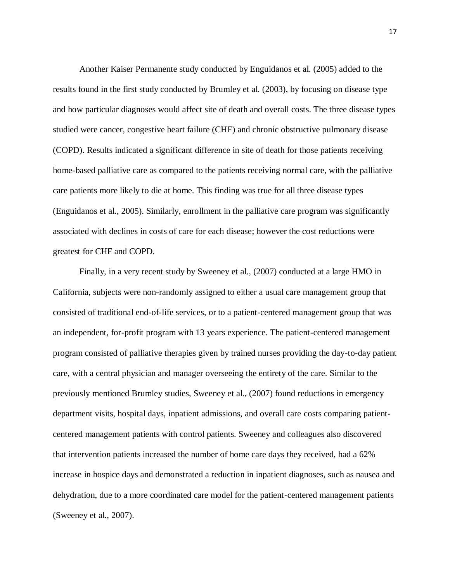Another Kaiser Permanente study conducted by Enguidanos et al. (2005) added to the results found in the first study conducted by Brumley et al. (2003), by focusing on disease type and how particular diagnoses would affect site of death and overall costs. The three disease types studied were cancer, congestive heart failure (CHF) and chronic obstructive pulmonary disease (COPD). Results indicated a significant difference in site of death for those patients receiving home-based palliative care as compared to the patients receiving normal care, with the palliative care patients more likely to die at home. This finding was true for all three disease types (Enguidanos et al., 2005). Similarly, enrollment in the palliative care program was significantly associated with declines in costs of care for each disease; however the cost reductions were greatest for CHF and COPD.

Finally, in a very recent study by Sweeney et al., (2007) conducted at a large HMO in California, subjects were non-randomly assigned to either a usual care management group that consisted of traditional end-of-life services, or to a patient-centered management group that was an independent, for-profit program with 13 years experience. The patient-centered management program consisted of palliative therapies given by trained nurses providing the day-to-day patient care, with a central physician and manager overseeing the entirety of the care. Similar to the previously mentioned Brumley studies, Sweeney et al., (2007) found reductions in emergency department visits, hospital days, inpatient admissions, and overall care costs comparing patientcentered management patients with control patients. Sweeney and colleagues also discovered that intervention patients increased the number of home care days they received, had a 62% increase in hospice days and demonstrated a reduction in inpatient diagnoses, such as nausea and dehydration, due to a more coordinated care model for the patient-centered management patients (Sweeney et al., 2007).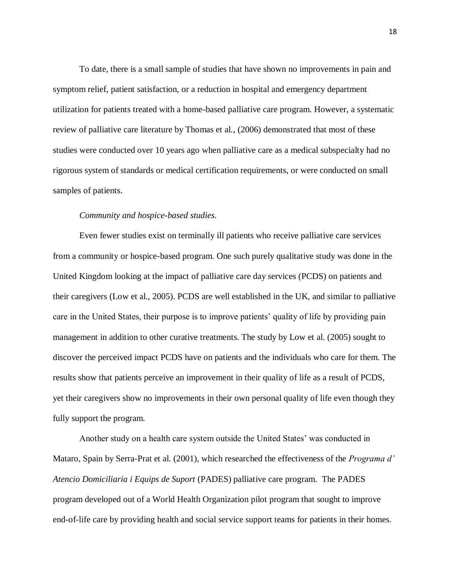To date, there is a small sample of studies that have shown no improvements in pain and symptom relief, patient satisfaction, or a reduction in hospital and emergency department utilization for patients treated with a home-based palliative care program. However, a systematic review of palliative care literature by Thomas et al., (2006) demonstrated that most of these studies were conducted over 10 years ago when palliative care as a medical subspecialty had no rigorous system of standards or medical certification requirements, or were conducted on small samples of patients.

#### *Community and hospice-based studies.*

Even fewer studies exist on terminally ill patients who receive palliative care services from a community or hospice-based program. One such purely qualitative study was done in the United Kingdom looking at the impact of palliative care day services (PCDS) on patients and their caregivers (Low et al., 2005). PCDS are well established in the UK, and similar to palliative care in the United States, their purpose is to improve patients' quality of life by providing pain management in addition to other curative treatments. The study by Low et al. (2005) sought to discover the perceived impact PCDS have on patients and the individuals who care for them. The results show that patients perceive an improvement in their quality of life as a result of PCDS, yet their caregivers show no improvements in their own personal quality of life even though they fully support the program.

Another study on a health care system outside the United States' was conducted in Mataro, Spain by Serra-Prat et al. (2001), which researched the effectiveness of the *Programa d' Atencio Domiciliaria i Equips de Suport* (PADES) palliative care program. The PADES program developed out of a World Health Organization pilot program that sought to improve end-of-life care by providing health and social service support teams for patients in their homes.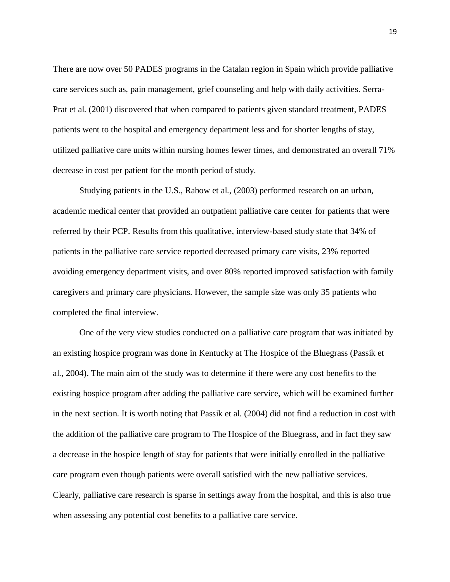There are now over 50 PADES programs in the Catalan region in Spain which provide palliative care services such as, pain management, grief counseling and help with daily activities. Serra-Prat et al. (2001) discovered that when compared to patients given standard treatment, PADES patients went to the hospital and emergency department less and for shorter lengths of stay, utilized palliative care units within nursing homes fewer times, and demonstrated an overall 71% decrease in cost per patient for the month period of study.

Studying patients in the U.S., Rabow et al., (2003) performed research on an urban, academic medical center that provided an outpatient palliative care center for patients that were referred by their PCP. Results from this qualitative, interview-based study state that 34% of patients in the palliative care service reported decreased primary care visits, 23% reported avoiding emergency department visits, and over 80% reported improved satisfaction with family caregivers and primary care physicians. However, the sample size was only 35 patients who completed the final interview.

One of the very view studies conducted on a palliative care program that was initiated by an existing hospice program was done in Kentucky at The Hospice of the Bluegrass (Passik et al., 2004). The main aim of the study was to determine if there were any cost benefits to the existing hospice program after adding the palliative care service, which will be examined further in the next section. It is worth noting that Passik et al. (2004) did not find a reduction in cost with the addition of the palliative care program to The Hospice of the Bluegrass, and in fact they saw a decrease in the hospice length of stay for patients that were initially enrolled in the palliative care program even though patients were overall satisfied with the new palliative services. Clearly, palliative care research is sparse in settings away from the hospital, and this is also true when assessing any potential cost benefits to a palliative care service.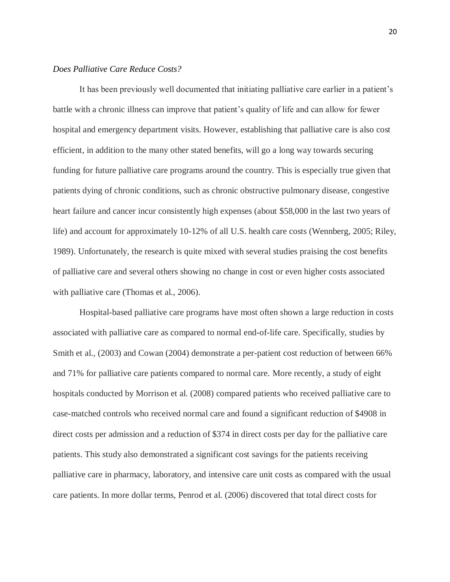## *Does Palliative Care Reduce Costs?*

It has been previously well documented that initiating palliative care earlier in a patient's battle with a chronic illness can improve that patient's quality of life and can allow for fewer hospital and emergency department visits. However, establishing that palliative care is also cost efficient, in addition to the many other stated benefits, will go a long way towards securing funding for future palliative care programs around the country. This is especially true given that patients dying of chronic conditions, such as chronic obstructive pulmonary disease, congestive heart failure and cancer incur consistently high expenses (about \$58,000 in the last two years of life) and account for approximately 10-12% of all U.S. health care costs (Wennberg, 2005; Riley, 1989). Unfortunately, the research is quite mixed with several studies praising the cost benefits of palliative care and several others showing no change in cost or even higher costs associated with palliative care (Thomas et al., 2006).

Hospital-based palliative care programs have most often shown a large reduction in costs associated with palliative care as compared to normal end-of-life care. Specifically, studies by Smith et al., (2003) and Cowan (2004) demonstrate a per-patient cost reduction of between 66% and 71% for palliative care patients compared to normal care. More recently, a study of eight hospitals conducted by Morrison et al. (2008) compared patients who received palliative care to case-matched controls who received normal care and found a significant reduction of \$4908 in direct costs per admission and a reduction of \$374 in direct costs per day for the palliative care patients. This study also demonstrated a significant cost savings for the patients receiving palliative care in pharmacy, laboratory, and intensive care unit costs as compared with the usual care patients. In more dollar terms, Penrod et al. (2006) discovered that total direct costs for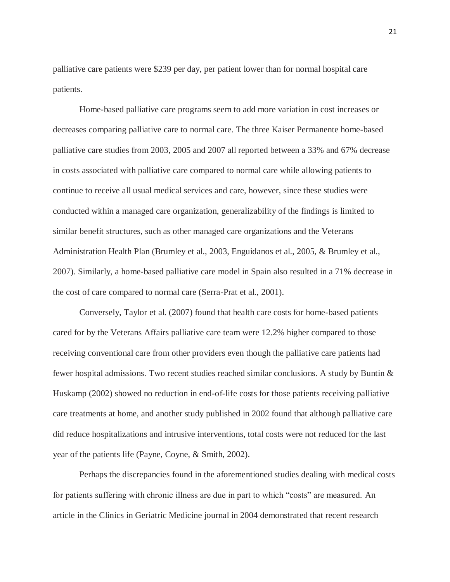palliative care patients were \$239 per day, per patient lower than for normal hospital care patients.

Home-based palliative care programs seem to add more variation in cost increases or decreases comparing palliative care to normal care. The three Kaiser Permanente home-based palliative care studies from 2003, 2005 and 2007 all reported between a 33% and 67% decrease in costs associated with palliative care compared to normal care while allowing patients to continue to receive all usual medical services and care, however, since these studies were conducted within a managed care organization, generalizability of the findings is limited to similar benefit structures, such as other managed care organizations and the Veterans Administration Health Plan (Brumley et al., 2003, Enguidanos et al., 2005, & Brumley et al., 2007). Similarly, a home-based palliative care model in Spain also resulted in a 71% decrease in the cost of care compared to normal care (Serra-Prat et al., 2001).

Conversely, Taylor et al. (2007) found that health care costs for home-based patients cared for by the Veterans Affairs palliative care team were 12.2% higher compared to those receiving conventional care from other providers even though the palliative care patients had fewer hospital admissions. Two recent studies reached similar conclusions. A study by Buntin & Huskamp (2002) showed no reduction in end-of-life costs for those patients receiving palliative care treatments at home, and another study published in 2002 found that although palliative care did reduce hospitalizations and intrusive interventions, total costs were not reduced for the last year of the patients life (Payne, Coyne, & Smith, 2002).

Perhaps the discrepancies found in the aforementioned studies dealing with medical costs for patients suffering with chronic illness are due in part to which "costs" are measured. An article in the Clinics in Geriatric Medicine journal in 2004 demonstrated that recent research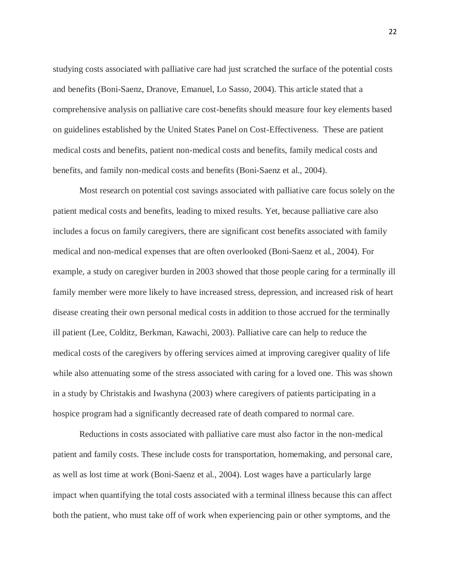studying costs associated with palliative care had just scratched the surface of the potential costs and benefits (Boni-Saenz, Dranove, Emanuel, Lo Sasso, 2004). This article stated that a comprehensive analysis on palliative care cost-benefits should measure four key elements based on guidelines established by the United States Panel on Cost-Effectiveness. These are patient medical costs and benefits, patient non-medical costs and benefits, family medical costs and benefits, and family non-medical costs and benefits (Boni-Saenz et al., 2004).

Most research on potential cost savings associated with palliative care focus solely on the patient medical costs and benefits, leading to mixed results. Yet, because palliative care also includes a focus on family caregivers, there are significant cost benefits associated with family medical and non-medical expenses that are often overlooked (Boni-Saenz et al., 2004). For example, a study on caregiver burden in 2003 showed that those people caring for a terminally ill family member were more likely to have increased stress, depression, and increased risk of heart disease creating their own personal medical costs in addition to those accrued for the terminally ill patient (Lee, Colditz, Berkman, Kawachi, 2003). Palliative care can help to reduce the medical costs of the caregivers by offering services aimed at improving caregiver quality of life while also attenuating some of the stress associated with caring for a loved one. This was shown in a study by Christakis and Iwashyna (2003) where caregivers of patients participating in a hospice program had a significantly decreased rate of death compared to normal care.

Reductions in costs associated with palliative care must also factor in the non-medical patient and family costs. These include costs for transportation, homemaking, and personal care, as well as lost time at work (Boni-Saenz et al., 2004). Lost wages have a particularly large impact when quantifying the total costs associated with a terminal illness because this can affect both the patient, who must take off of work when experiencing pain or other symptoms, and the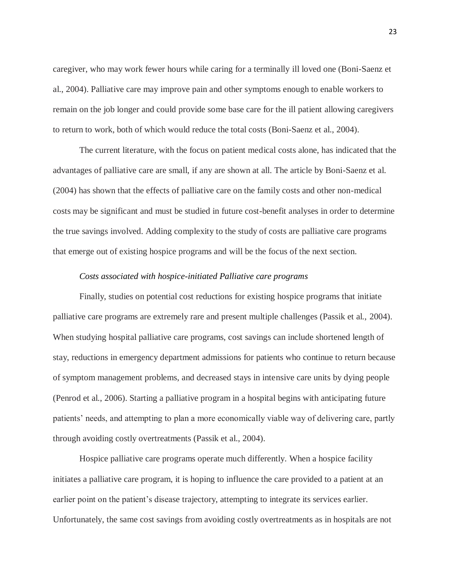caregiver, who may work fewer hours while caring for a terminally ill loved one (Boni-Saenz et al., 2004). Palliative care may improve pain and other symptoms enough to enable workers to remain on the job longer and could provide some base care for the ill patient allowing caregivers to return to work, both of which would reduce the total costs (Boni-Saenz et al., 2004).

The current literature, with the focus on patient medical costs alone, has indicated that the advantages of palliative care are small, if any are shown at all. The article by Boni-Saenz et al. (2004) has shown that the effects of palliative care on the family costs and other non-medical costs may be significant and must be studied in future cost-benefit analyses in order to determine the true savings involved. Adding complexity to the study of costs are palliative care programs that emerge out of existing hospice programs and will be the focus of the next section.

#### *Costs associated with hospice-initiated Palliative care programs*

Finally, studies on potential cost reductions for existing hospice programs that initiate palliative care programs are extremely rare and present multiple challenges (Passik et al., 2004). When studying hospital palliative care programs, cost savings can include shortened length of stay, reductions in emergency department admissions for patients who continue to return because of symptom management problems, and decreased stays in intensive care units by dying people (Penrod et al., 2006). Starting a palliative program in a hospital begins with anticipating future patients' needs, and attempting to plan a more economically viable way of delivering care, partly through avoiding costly overtreatments (Passik et al., 2004).

Hospice palliative care programs operate much differently. When a hospice facility initiates a palliative care program, it is hoping to influence the care provided to a patient at an earlier point on the patient's disease trajectory, attempting to integrate its services earlier. Unfortunately, the same cost savings from avoiding costly overtreatments as in hospitals are not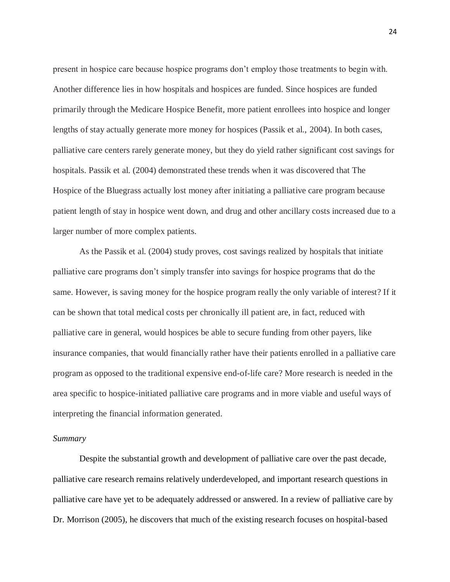present in hospice care because hospice programs don't employ those treatments to begin with. Another difference lies in how hospitals and hospices are funded. Since hospices are funded primarily through the Medicare Hospice Benefit, more patient enrollees into hospice and longer lengths of stay actually generate more money for hospices (Passik et al., 2004). In both cases, palliative care centers rarely generate money, but they do yield rather significant cost savings for hospitals. Passik et al. (2004) demonstrated these trends when it was discovered that The Hospice of the Bluegrass actually lost money after initiating a palliative care program because patient length of stay in hospice went down, and drug and other ancillary costs increased due to a larger number of more complex patients.

As the Passik et al. (2004) study proves, cost savings realized by hospitals that initiate palliative care programs don't simply transfer into savings for hospice programs that do the same. However, is saving money for the hospice program really the only variable of interest? If it can be shown that total medical costs per chronically ill patient are, in fact, reduced with palliative care in general, would hospices be able to secure funding from other payers, like insurance companies, that would financially rather have their patients enrolled in a palliative care program as opposed to the traditional expensive end-of-life care? More research is needed in the area specific to hospice-initiated palliative care programs and in more viable and useful ways of interpreting the financial information generated.

#### *Summary*

Despite the substantial growth and development of palliative care over the past decade, palliative care research remains relatively underdeveloped, and important research questions in palliative care have yet to be adequately addressed or answered. In a review of palliative care by Dr. Morrison (2005), he discovers that much of the existing research focuses on hospital-based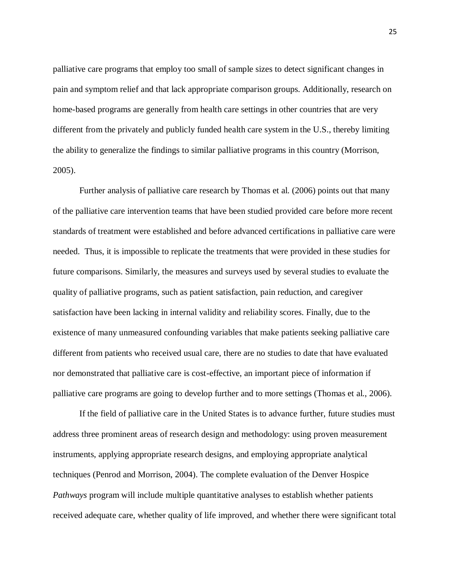palliative care programs that employ too small of sample sizes to detect significant changes in pain and symptom relief and that lack appropriate comparison groups. Additionally, research on home-based programs are generally from health care settings in other countries that are very different from the privately and publicly funded health care system in the U.S., thereby limiting the ability to generalize the findings to similar palliative programs in this country (Morrison, 2005).

Further analysis of palliative care research by Thomas et al. (2006) points out that many of the palliative care intervention teams that have been studied provided care before more recent standards of treatment were established and before advanced certifications in palliative care were needed. Thus, it is impossible to replicate the treatments that were provided in these studies for future comparisons. Similarly, the measures and surveys used by several studies to evaluate the quality of palliative programs, such as patient satisfaction, pain reduction, and caregiver satisfaction have been lacking in internal validity and reliability scores. Finally, due to the existence of many unmeasured confounding variables that make patients seeking palliative care different from patients who received usual care, there are no studies to date that have evaluated nor demonstrated that palliative care is cost-effective, an important piece of information if palliative care programs are going to develop further and to more settings (Thomas et al., 2006).

If the field of palliative care in the United States is to advance further, future studies must address three prominent areas of research design and methodology: using proven measurement instruments, applying appropriate research designs, and employing appropriate analytical techniques (Penrod and Morrison, 2004). The complete evaluation of the Denver Hospice *Pathways* program will include multiple quantitative analyses to establish whether patients received adequate care, whether quality of life improved, and whether there were significant total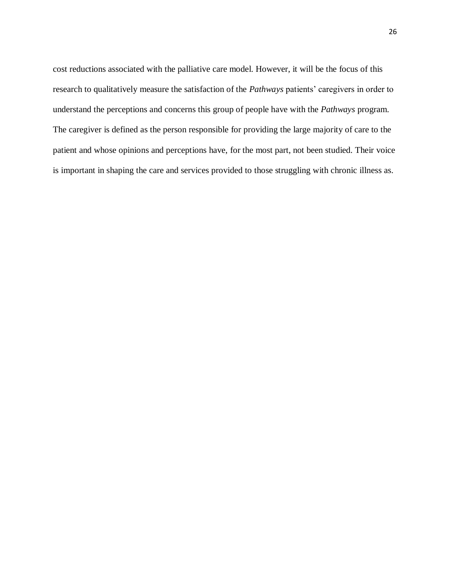cost reductions associated with the palliative care model. However, it will be the focus of this research to qualitatively measure the satisfaction of the *Pathways* patients' caregivers in order to understand the perceptions and concerns this group of people have with the *Pathways* program. The caregiver is defined as the person responsible for providing the large majority of care to the patient and whose opinions and perceptions have, for the most part, not been studied. Their voice is important in shaping the care and services provided to those struggling with chronic illness as.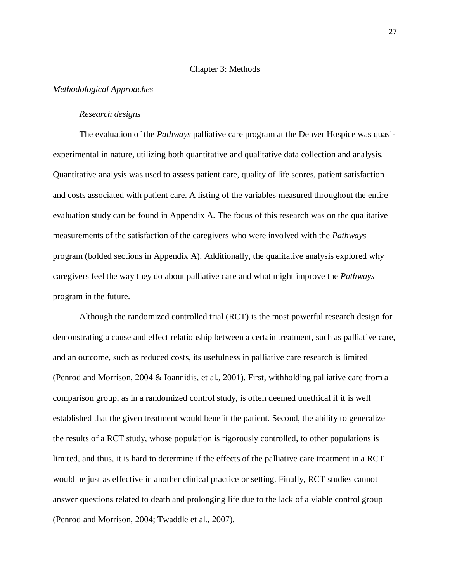#### Chapter 3: Methods

#### *Methodological Approaches*

#### *Research designs*

The evaluation of the *Pathways* palliative care program at the Denver Hospice was quasiexperimental in nature, utilizing both quantitative and qualitative data collection and analysis. Quantitative analysis was used to assess patient care, quality of life scores, patient satisfaction and costs associated with patient care. A listing of the variables measured throughout the entire evaluation study can be found in Appendix A. The focus of this research was on the qualitative measurements of the satisfaction of the caregivers who were involved with the *Pathways*  program (bolded sections in Appendix A). Additionally, the qualitative analysis explored why caregivers feel the way they do about palliative care and what might improve the *Pathways*  program in the future.

Although the randomized controlled trial (RCT) is the most powerful research design for demonstrating a cause and effect relationship between a certain treatment, such as palliative care, and an outcome, such as reduced costs, its usefulness in palliative care research is limited (Penrod and Morrison, 2004 & Ioannidis, et al., 2001). First, withholding palliative care from a comparison group, as in a randomized control study, is often deemed unethical if it is well established that the given treatment would benefit the patient. Second, the ability to generalize the results of a RCT study, whose population is rigorously controlled, to other populations is limited, and thus, it is hard to determine if the effects of the palliative care treatment in a RCT would be just as effective in another clinical practice or setting. Finally, RCT studies cannot answer questions related to death and prolonging life due to the lack of a viable control group (Penrod and Morrison, 2004; Twaddle et al., 2007).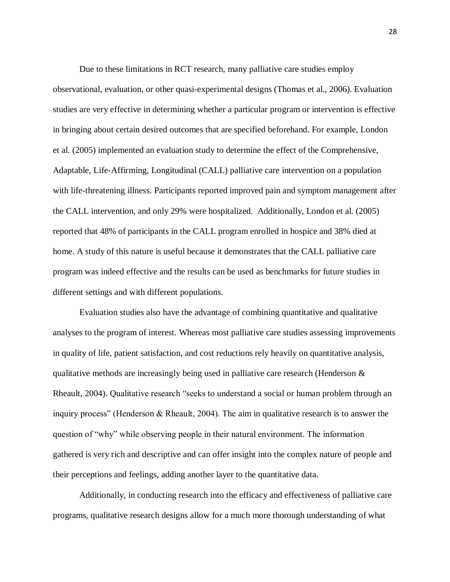Due to these limitations in RCT research, many palliative care studies employ observational, evaluation, or other quasi-experimental designs (Thomas et al., 2006). Evaluation studies are very effective in determining whether a particular program or intervention is effective in bringing about certain desired outcomes that are specified beforehand. For example, London et al. (2005) implemented an evaluation study to determine the effect of the Comprehensive, Adaptable, Life-Affirming, Longitudinal (CALL) palliative care intervention on a population with life-threatening illness. Participants reported improved pain and symptom management after the CALL intervention, and only 29% were hospitalized. Additionally, London et al. (2005) reported that 48% of participants in the CALL program enrolled in hospice and 38% died at home. A study of this nature is useful because it demonstrates that the CALL palliative care program was indeed effective and the results can be used as benchmarks for future studies in different settings and with different populations.

Evaluation studies also have the advantage of combining quantitative and qualitative analyses to the program of interest. Whereas most palliative care studies assessing improvements in quality of life, patient satisfaction, and cost reductions rely heavily on quantitative analysis, qualitative methods are increasingly being used in palliative care research (Henderson & Rheault, 2004). Qualitative research "seeks to understand a social or human problem through an inquiry process" (Henderson & Rheault, 2004). The aim in qualitative research is to answer the question of "why" while observing people in their natural environment. The information gathered is very rich and descriptive and can offer insight into the complex nature of people and their perceptions and feelings, adding another layer to the quantitative data.

Additionally, in conducting research into the efficacy and effectiveness of palliative care programs, qualitative research designs allow for a much more thorough understanding of what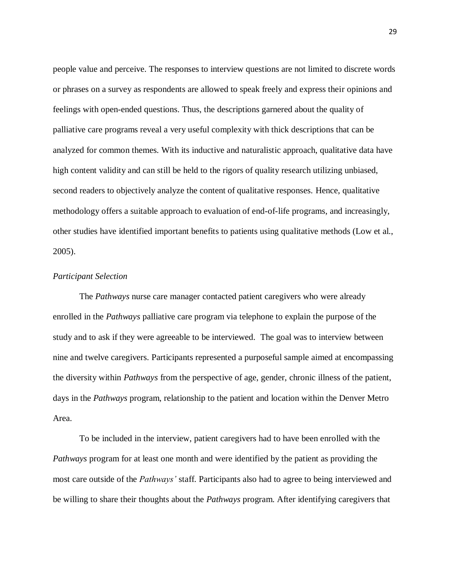people value and perceive. The responses to interview questions are not limited to discrete words or phrases on a survey as respondents are allowed to speak freely and express their opinions and feelings with open-ended questions. Thus, the descriptions garnered about the quality of palliative care programs reveal a very useful complexity with thick descriptions that can be analyzed for common themes. With its inductive and naturalistic approach, qualitative data have high content validity and can still be held to the rigors of quality research utilizing unbiased, second readers to objectively analyze the content of qualitative responses. Hence, qualitative methodology offers a suitable approach to evaluation of end-of-life programs, and increasingly, other studies have identified important benefits to patients using qualitative methods (Low et al., 2005).

#### *Participant Selection*

The *Pathways* nurse care manager contacted patient caregivers who were already enrolled in the *Pathways* palliative care program via telephone to explain the purpose of the study and to ask if they were agreeable to be interviewed. The goal was to interview between nine and twelve caregivers. Participants represented a purposeful sample aimed at encompassing the diversity within *Pathways* from the perspective of age, gender, chronic illness of the patient, days in the *Pathways* program, relationship to the patient and location within the Denver Metro Area.

To be included in the interview, patient caregivers had to have been enrolled with the *Pathways* program for at least one month and were identified by the patient as providing the most care outside of the *Pathways'* staff. Participants also had to agree to being interviewed and be willing to share their thoughts about the *Pathways* program. After identifying caregivers that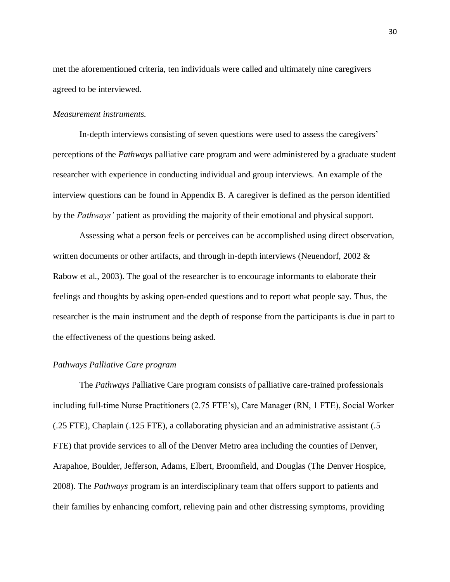met the aforementioned criteria, ten individuals were called and ultimately nine caregivers agreed to be interviewed.

#### *Measurement instruments.*

In-depth interviews consisting of seven questions were used to assess the caregivers' perceptions of the *Pathways* palliative care program and were administered by a graduate student researcher with experience in conducting individual and group interviews. An example of the interview questions can be found in Appendix B. A caregiver is defined as the person identified by the *Pathways'* patient as providing the majority of their emotional and physical support.

Assessing what a person feels or perceives can be accomplished using direct observation, written documents or other artifacts, and through in-depth interviews (Neuendorf, 2002 & Rabow et al., 2003). The goal of the researcher is to encourage informants to elaborate their feelings and thoughts by asking open-ended questions and to report what people say. Thus, the researcher is the main instrument and the depth of response from the participants is due in part to the effectiveness of the questions being asked.

#### *Pathways Palliative Care program*

The *Pathways* Palliative Care program consists of palliative care-trained professionals including full-time Nurse Practitioners (2.75 FTE's), Care Manager (RN, 1 FTE), Social Worker (.25 FTE), Chaplain (.125 FTE), a collaborating physician and an administrative assistant (.5 FTE) that provide services to all of the Denver Metro area including the counties of Denver, Arapahoe, Boulder, Jefferson, Adams, Elbert, Broomfield, and Douglas (The Denver Hospice, 2008). The *Pathways* program is an interdisciplinary team that offers support to patients and their families by enhancing comfort, relieving pain and other distressing symptoms, providing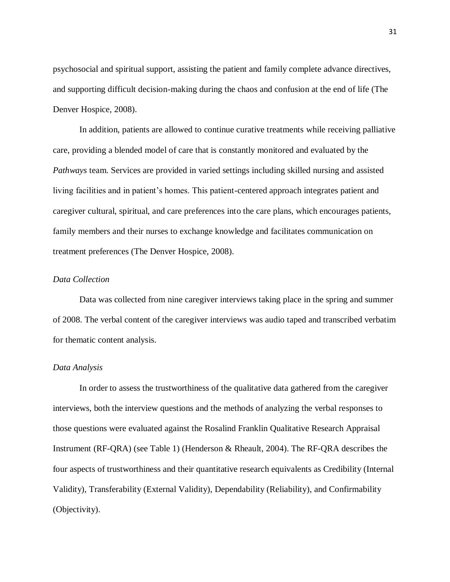psychosocial and spiritual support, assisting the patient and family complete advance directives, and supporting difficult decision-making during the chaos and confusion at the end of life (The Denver Hospice, 2008).

In addition, patients are allowed to continue curative treatments while receiving palliative care, providing a blended model of care that is constantly monitored and evaluated by the *Pathways* team. Services are provided in varied settings including skilled nursing and assisted living facilities and in patient's homes. This patient-centered approach integrates patient and caregiver cultural, spiritual, and care preferences into the care plans, which encourages patients, family members and their nurses to exchange knowledge and facilitates communication on treatment preferences (The Denver Hospice, 2008).

#### *Data Collection*

Data was collected from nine caregiver interviews taking place in the spring and summer of 2008. The verbal content of the caregiver interviews was audio taped and transcribed verbatim for thematic content analysis.

### *Data Analysis*

In order to assess the trustworthiness of the qualitative data gathered from the caregiver interviews, both the interview questions and the methods of analyzing the verbal responses to those questions were evaluated against the Rosalind Franklin Qualitative Research Appraisal Instrument (RF-QRA) (see Table 1) (Henderson & Rheault, 2004). The RF-QRA describes the four aspects of trustworthiness and their quantitative research equivalents as Credibility (Internal Validity), Transferability (External Validity), Dependability (Reliability), and Confirmability (Objectivity).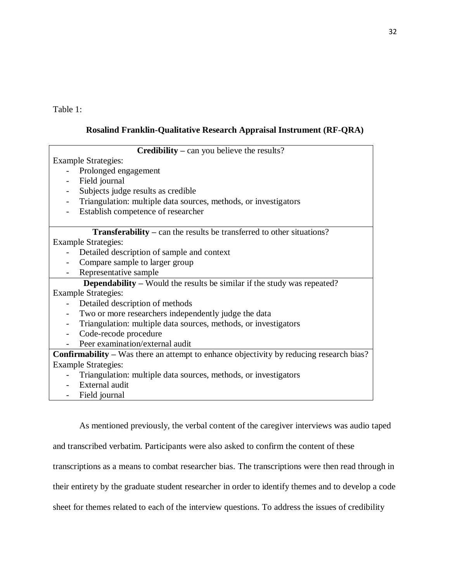Table 1:

## **Rosalind Franklin-Qualitative Research Appraisal Instrument (RF-QRA)**

| <b>Credibility</b> – can you believe the results?                                              |  |  |  |  |
|------------------------------------------------------------------------------------------------|--|--|--|--|
| <b>Example Strategies:</b>                                                                     |  |  |  |  |
| Prolonged engagement<br>$\qquad \qquad -$                                                      |  |  |  |  |
| Field journal<br>$\overline{\phantom{0}}$                                                      |  |  |  |  |
| Subjects judge results as credible<br>$\overline{\phantom{a}}$                                 |  |  |  |  |
| Triangulation: multiple data sources, methods, or investigators<br>$\overline{\phantom{a}}$    |  |  |  |  |
| Establish competence of researcher<br>$\overline{\phantom{a}}$                                 |  |  |  |  |
|                                                                                                |  |  |  |  |
| <b>Transferability</b> – can the results be transferred to other situations?                   |  |  |  |  |
| <b>Example Strategies:</b>                                                                     |  |  |  |  |
| Detailed description of sample and context                                                     |  |  |  |  |
| Compare sample to larger group                                                                 |  |  |  |  |
| Representative sample                                                                          |  |  |  |  |
| <b>Dependability</b> – Would the results be similar if the study was repeated?                 |  |  |  |  |
| <b>Example Strategies:</b>                                                                     |  |  |  |  |
| Detailed description of methods                                                                |  |  |  |  |
| Two or more researchers independently judge the data                                           |  |  |  |  |
| Triangulation: multiple data sources, methods, or investigators<br>$\overline{\phantom{a}}$    |  |  |  |  |
| Code-recode procedure<br>$\overline{\phantom{a}}$                                              |  |  |  |  |
| Peer examination/external audit                                                                |  |  |  |  |
| <b>Confirmability</b> – Was there an attempt to enhance objectivity by reducing research bias? |  |  |  |  |
| <b>Example Strategies:</b>                                                                     |  |  |  |  |
| Triangulation: multiple data sources, methods, or investigators                                |  |  |  |  |
| External audit                                                                                 |  |  |  |  |
| Field journal                                                                                  |  |  |  |  |

As mentioned previously, the verbal content of the caregiver interviews was audio taped and transcribed verbatim. Participants were also asked to confirm the content of these transcriptions as a means to combat researcher bias. The transcriptions were then read through in their entirety by the graduate student researcher in order to identify themes and to develop a code sheet for themes related to each of the interview questions. To address the issues of credibility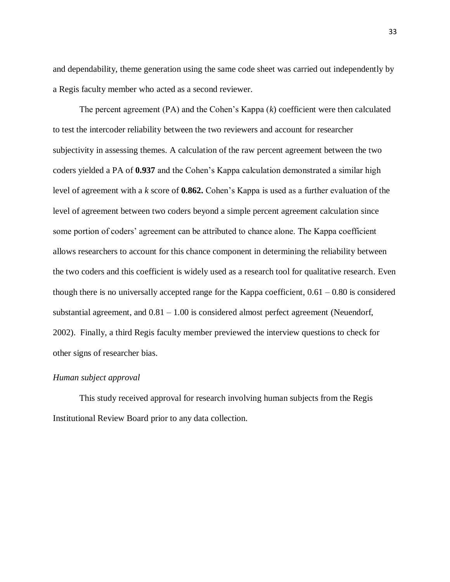and dependability, theme generation using the same code sheet was carried out independently by a Regis faculty member who acted as a second reviewer.

The percent agreement (PA) and the Cohen's Kappa (*k*) coefficient were then calculated to test the intercoder reliability between the two reviewers and account for researcher subjectivity in assessing themes. A calculation of the raw percent agreement between the two coders yielded a PA of **0.937** and the Cohen's Kappa calculation demonstrated a similar high level of agreement with a *k* score of **0.862.** Cohen's Kappa is used as a further evaluation of the level of agreement between two coders beyond a simple percent agreement calculation since some portion of coders' agreement can be attributed to chance alone. The Kappa coefficient allows researchers to account for this chance component in determining the reliability between the two coders and this coefficient is widely used as a research tool for qualitative research. Even though there is no universally accepted range for the Kappa coefficient,  $0.61 - 0.80$  is considered substantial agreement, and 0.81 – 1.00 is considered almost perfect agreement (Neuendorf, 2002). Finally, a third Regis faculty member previewed the interview questions to check for other signs of researcher bias.

#### *Human subject approval*

This study received approval for research involving human subjects from the Regis Institutional Review Board prior to any data collection.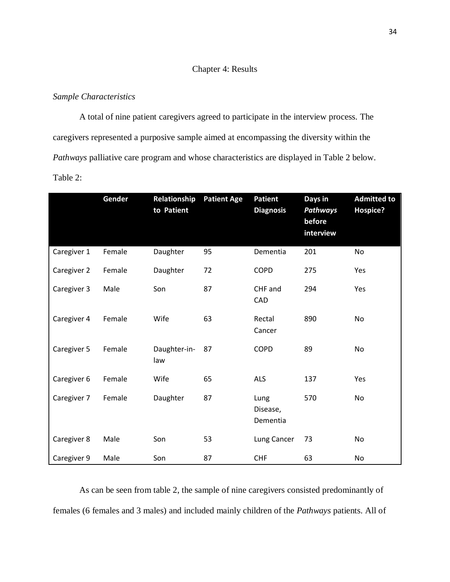## Chapter 4: Results

## *Sample Characteristics*

A total of nine patient caregivers agreed to participate in the interview process. The caregivers represented a purposive sample aimed at encompassing the diversity within the *Pathways* palliative care program and whose characteristics are displayed in Table 2 below. Table 2:

|             | Gender | Relationship<br>to Patient | <b>Patient Age</b> | <b>Patient</b><br><b>Diagnosis</b> | Days in<br><b>Pathways</b><br>before<br>interview | <b>Admitted to</b><br>Hospice? |
|-------------|--------|----------------------------|--------------------|------------------------------------|---------------------------------------------------|--------------------------------|
| Caregiver 1 | Female | Daughter                   | 95                 | Dementia                           | 201                                               | <b>No</b>                      |
| Caregiver 2 | Female | Daughter                   | 72                 | <b>COPD</b>                        | 275                                               | Yes                            |
| Caregiver 3 | Male   | Son                        | 87                 | CHF and<br>CAD                     | 294                                               | Yes                            |
| Caregiver 4 | Female | Wife                       | 63                 | Rectal<br>Cancer                   | 890                                               | No                             |
| Caregiver 5 | Female | Daughter-in-<br>law        | 87                 | <b>COPD</b>                        | 89                                                | No                             |
| Caregiver 6 | Female | Wife                       | 65                 | <b>ALS</b>                         | 137                                               | Yes                            |
| Caregiver 7 | Female | Daughter                   | 87                 | Lung<br>Disease,<br>Dementia       | 570                                               | <b>No</b>                      |
| Caregiver 8 | Male   | Son                        | 53                 | Lung Cancer                        | 73                                                | No                             |
| Caregiver 9 | Male   | Son                        | 87                 | <b>CHF</b>                         | 63                                                | No                             |

As can be seen from table 2, the sample of nine caregivers consisted predominantly of females (6 females and 3 males) and included mainly children of the *Pathways* patients. All of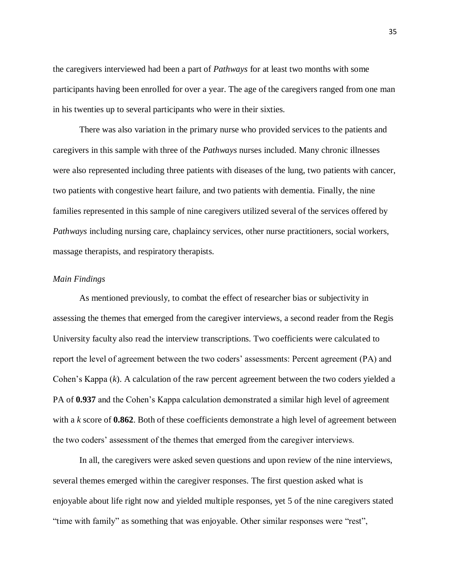the caregivers interviewed had been a part of *Pathways* for at least two months with some participants having been enrolled for over a year. The age of the caregivers ranged from one man in his twenties up to several participants who were in their sixties.

There was also variation in the primary nurse who provided services to the patients and caregivers in this sample with three of the *Pathways* nurses included. Many chronic illnesses were also represented including three patients with diseases of the lung, two patients with cancer, two patients with congestive heart failure, and two patients with dementia. Finally, the nine families represented in this sample of nine caregivers utilized several of the services offered by *Pathways* including nursing care, chaplaincy services, other nurse practitioners, social workers, massage therapists, and respiratory therapists.

#### *Main Findings*

As mentioned previously, to combat the effect of researcher bias or subjectivity in assessing the themes that emerged from the caregiver interviews, a second reader from the Regis University faculty also read the interview transcriptions. Two coefficients were calculated to report the level of agreement between the two coders' assessments: Percent agreement (PA) and Cohen's Kappa (*k*). A calculation of the raw percent agreement between the two coders yielded a PA of **0.937** and the Cohen's Kappa calculation demonstrated a similar high level of agreement with a *k* score of **0.862**. Both of these coefficients demonstrate a high level of agreement between the two coders' assessment of the themes that emerged from the caregiver interviews.

In all, the caregivers were asked seven questions and upon review of the nine interviews, several themes emerged within the caregiver responses. The first question asked what is enjoyable about life right now and yielded multiple responses, yet 5 of the nine caregivers stated "time with family" as something that was enjoyable. Other similar responses were "rest",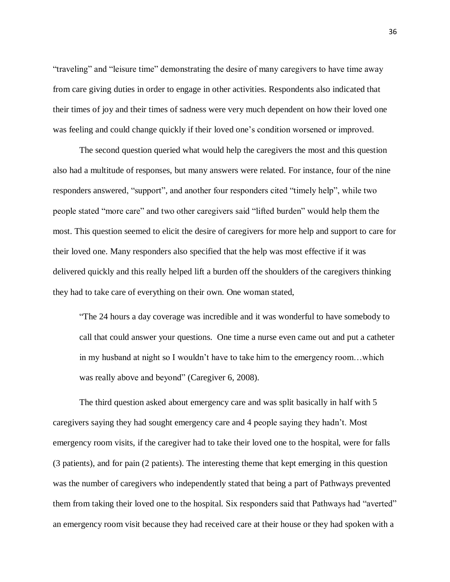"traveling" and "leisure time" demonstrating the desire of many caregivers to have time away from care giving duties in order to engage in other activities. Respondents also indicated that their times of joy and their times of sadness were very much dependent on how their loved one was feeling and could change quickly if their loved one's condition worsened or improved.

The second question queried what would help the caregivers the most and this question also had a multitude of responses, but many answers were related. For instance, four of the nine responders answered, "support", and another four responders cited "timely help", while two people stated "more care" and two other caregivers said "lifted burden" would help them the most. This question seemed to elicit the desire of caregivers for more help and support to care for their loved one. Many responders also specified that the help was most effective if it was delivered quickly and this really helped lift a burden off the shoulders of the caregivers thinking they had to take care of everything on their own. One woman stated,

"The 24 hours a day coverage was incredible and it was wonderful to have somebody to call that could answer your questions. One time a nurse even came out and put a catheter in my husband at night so I wouldn't have to take him to the emergency room…which was really above and beyond" (Caregiver 6, 2008).

The third question asked about emergency care and was split basically in half with 5 caregivers saying they had sought emergency care and 4 people saying they hadn't. Most emergency room visits, if the caregiver had to take their loved one to the hospital, were for falls (3 patients), and for pain (2 patients). The interesting theme that kept emerging in this question was the number of caregivers who independently stated that being a part of Pathways prevented them from taking their loved one to the hospital. Six responders said that Pathways had "averted" an emergency room visit because they had received care at their house or they had spoken with a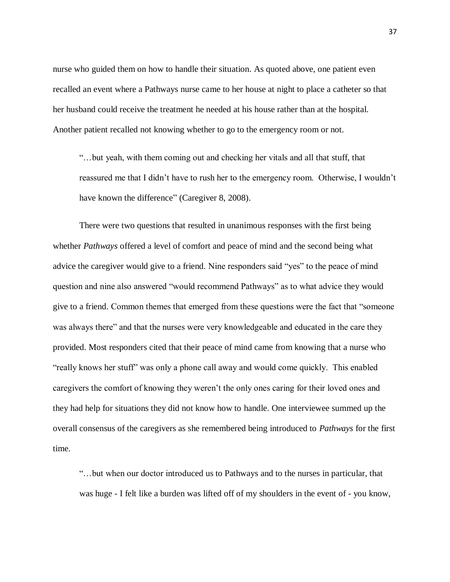nurse who guided them on how to handle their situation. As quoted above, one patient even recalled an event where a Pathways nurse came to her house at night to place a catheter so that her husband could receive the treatment he needed at his house rather than at the hospital. Another patient recalled not knowing whether to go to the emergency room or not.

"…but yeah, with them coming out and checking her vitals and all that stuff, that reassured me that I didn't have to rush her to the emergency room. Otherwise, I wouldn't have known the difference" (Caregiver 8, 2008).

There were two questions that resulted in unanimous responses with the first being whether *Pathways* offered a level of comfort and peace of mind and the second being what advice the caregiver would give to a friend. Nine responders said "yes" to the peace of mind question and nine also answered "would recommend Pathways" as to what advice they would give to a friend. Common themes that emerged from these questions were the fact that "someone was always there" and that the nurses were very knowledgeable and educated in the care they provided. Most responders cited that their peace of mind came from knowing that a nurse who "really knows her stuff" was only a phone call away and would come quickly. This enabled caregivers the comfort of knowing they weren't the only ones caring for their loved ones and they had help for situations they did not know how to handle. One interviewee summed up the overall consensus of the caregivers as she remembered being introduced to *Pathways* for the first time.

"…but when our doctor introduced us to Pathways and to the nurses in particular, that was huge - I felt like a burden was lifted off of my shoulders in the event of - you know,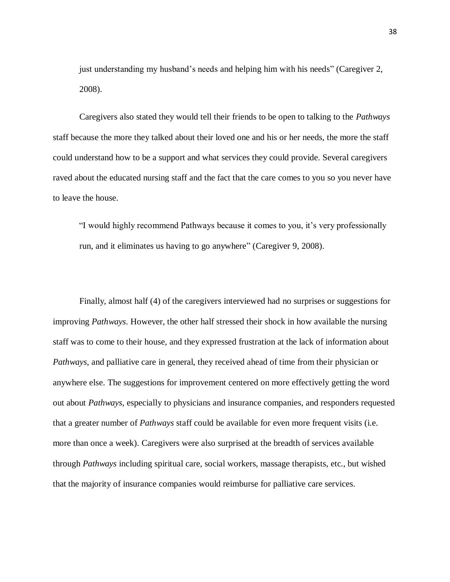just understanding my husband's needs and helping him with his needs" (Caregiver 2, 2008).

Caregivers also stated they would tell their friends to be open to talking to the *Pathways*  staff because the more they talked about their loved one and his or her needs, the more the staff could understand how to be a support and what services they could provide. Several caregivers raved about the educated nursing staff and the fact that the care comes to you so you never have to leave the house.

"I would highly recommend Pathways because it comes to you, it's very professionally run, and it eliminates us having to go anywhere" (Caregiver 9, 2008).

Finally, almost half (4) of the caregivers interviewed had no surprises or suggestions for improving *Pathways*. However, the other half stressed their shock in how available the nursing staff was to come to their house, and they expressed frustration at the lack of information about *Pathways*, and palliative care in general, they received ahead of time from their physician or anywhere else. The suggestions for improvement centered on more effectively getting the word out about *Pathways*, especially to physicians and insurance companies, and responders requested that a greater number of *Pathways* staff could be available for even more frequent visits (i.e. more than once a week). Caregivers were also surprised at the breadth of services available through *Pathways* including spiritual care, social workers, massage therapists, etc., but wished that the majority of insurance companies would reimburse for palliative care services.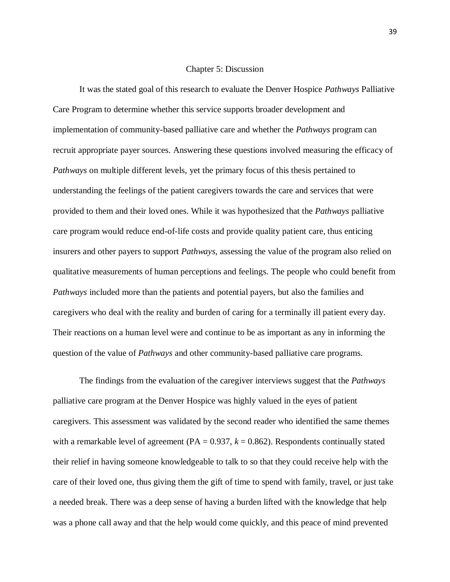#### Chapter 5: Discussion

It was the stated goal of this research to evaluate the Denver Hospice *Pathways* Palliative Care Program to determine whether this service supports broader development and implementation of community-based palliative care and whether the *Pathways* program can recruit appropriate payer sources. Answering these questions involved measuring the efficacy of *Pathways* on multiple different levels, yet the primary focus of this thesis pertained to understanding the feelings of the patient caregivers towards the care and services that were provided to them and their loved ones. While it was hypothesized that the *Pathways* palliative care program would reduce end-of-life costs and provide quality patient care, thus enticing insurers and other payers to support *Pathways*, assessing the value of the program also relied on qualitative measurements of human perceptions and feelings. The people who could benefit from *Pathways* included more than the patients and potential payers, but also the families and caregivers who deal with the reality and burden of caring for a terminally ill patient every day. Their reactions on a human level were and continue to be as important as any in informing the question of the value of *Pathways* and other community-based palliative care programs.

The findings from the evaluation of the caregiver interviews suggest that the *Pathways*  palliative care program at the Denver Hospice was highly valued in the eyes of patient caregivers. This assessment was validated by the second reader who identified the same themes with a remarkable level of agreement ( $PA = 0.937$ ,  $k = 0.862$ ). Respondents continually stated their relief in having someone knowledgeable to talk to so that they could receive help with the care of their loved one, thus giving them the gift of time to spend with family, travel, or just take a needed break. There was a deep sense of having a burden lifted with the knowledge that help was a phone call away and that the help would come quickly, and this peace of mind prevented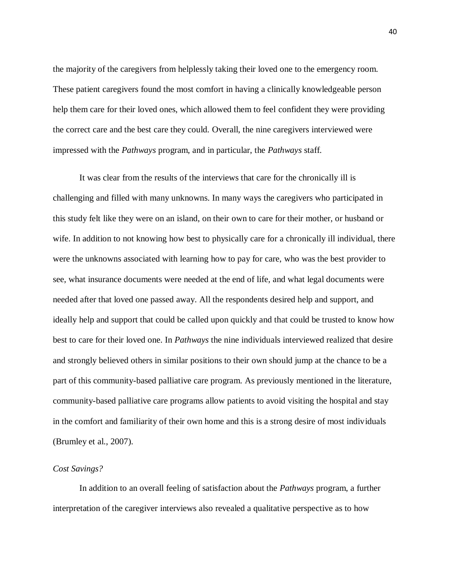the majority of the caregivers from helplessly taking their loved one to the emergency room. These patient caregivers found the most comfort in having a clinically knowledgeable person help them care for their loved ones, which allowed them to feel confident they were providing the correct care and the best care they could. Overall, the nine caregivers interviewed were impressed with the *Pathways* program, and in particular, the *Pathways* staff.

It was clear from the results of the interviews that care for the chronically ill is challenging and filled with many unknowns. In many ways the caregivers who participated in this study felt like they were on an island, on their own to care for their mother, or husband or wife. In addition to not knowing how best to physically care for a chronically ill individual, there were the unknowns associated with learning how to pay for care, who was the best provider to see, what insurance documents were needed at the end of life, and what legal documents were needed after that loved one passed away. All the respondents desired help and support, and ideally help and support that could be called upon quickly and that could be trusted to know how best to care for their loved one. In *Pathways* the nine individuals interviewed realized that desire and strongly believed others in similar positions to their own should jump at the chance to be a part of this community-based palliative care program. As previously mentioned in the literature, community-based palliative care programs allow patients to avoid visiting the hospital and stay in the comfort and familiarity of their own home and this is a strong desire of most individuals (Brumley et al., 2007).

#### *Cost Savings?*

In addition to an overall feeling of satisfaction about the *Pathways* program, a further interpretation of the caregiver interviews also revealed a qualitative perspective as to how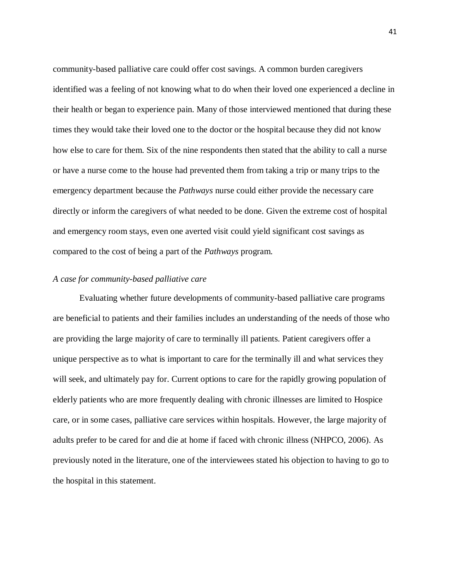community-based palliative care could offer cost savings. A common burden caregivers identified was a feeling of not knowing what to do when their loved one experienced a decline in their health or began to experience pain. Many of those interviewed mentioned that during these times they would take their loved one to the doctor or the hospital because they did not know how else to care for them. Six of the nine respondents then stated that the ability to call a nurse or have a nurse come to the house had prevented them from taking a trip or many trips to the emergency department because the *Pathways* nurse could either provide the necessary care directly or inform the caregivers of what needed to be done. Given the extreme cost of hospital and emergency room stays, even one averted visit could yield significant cost savings as compared to the cost of being a part of the *Pathways* program.

#### *A case for community-based palliative care*

Evaluating whether future developments of community-based palliative care programs are beneficial to patients and their families includes an understanding of the needs of those who are providing the large majority of care to terminally ill patients. Patient caregivers offer a unique perspective as to what is important to care for the terminally ill and what services they will seek, and ultimately pay for. Current options to care for the rapidly growing population of elderly patients who are more frequently dealing with chronic illnesses are limited to Hospice care, or in some cases, palliative care services within hospitals. However, the large majority of adults prefer to be cared for and die at home if faced with chronic illness (NHPCO, 2006). As previously noted in the literature, one of the interviewees stated his objection to having to go to the hospital in this statement.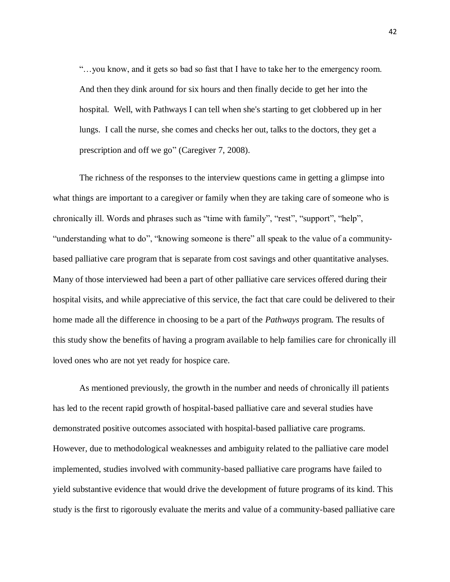"…you know, and it gets so bad so fast that I have to take her to the emergency room. And then they dink around for six hours and then finally decide to get her into the hospital. Well, with Pathways I can tell when she's starting to get clobbered up in her lungs. I call the nurse, she comes and checks her out, talks to the doctors, they get a prescription and off we go" (Caregiver 7, 2008).

The richness of the responses to the interview questions came in getting a glimpse into what things are important to a caregiver or family when they are taking care of someone who is chronically ill. Words and phrases such as "time with family", "rest", "support", "help", "understanding what to do", "knowing someone is there" all speak to the value of a communitybased palliative care program that is separate from cost savings and other quantitative analyses. Many of those interviewed had been a part of other palliative care services offered during their hospital visits, and while appreciative of this service, the fact that care could be delivered to their home made all the difference in choosing to be a part of the *Pathways* program. The results of this study show the benefits of having a program available to help families care for chronically ill loved ones who are not yet ready for hospice care.

As mentioned previously, the growth in the number and needs of chronically ill patients has led to the recent rapid growth of hospital-based palliative care and several studies have demonstrated positive outcomes associated with hospital-based palliative care programs. However, due to methodological weaknesses and ambiguity related to the palliative care model implemented, studies involved with community-based palliative care programs have failed to yield substantive evidence that would drive the development of future programs of its kind. This study is the first to rigorously evaluate the merits and value of a community-based palliative care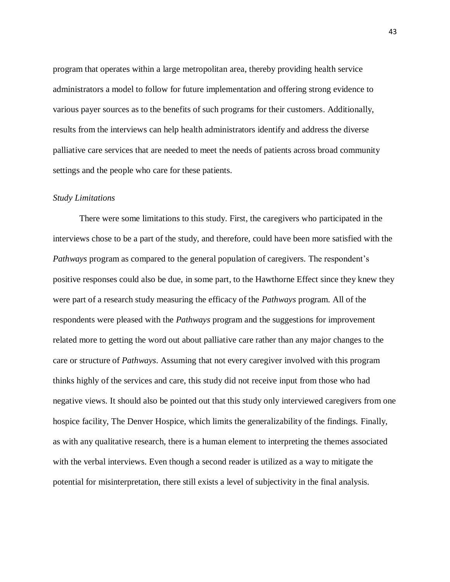program that operates within a large metropolitan area, thereby providing health service administrators a model to follow for future implementation and offering strong evidence to various payer sources as to the benefits of such programs for their customers. Additionally, results from the interviews can help health administrators identify and address the diverse palliative care services that are needed to meet the needs of patients across broad community settings and the people who care for these patients.

#### *Study Limitations*

There were some limitations to this study. First, the caregivers who participated in the interviews chose to be a part of the study, and therefore, could have been more satisfied with the *Pathways* program as compared to the general population of caregivers. The respondent's positive responses could also be due, in some part, to the Hawthorne Effect since they knew they were part of a research study measuring the efficacy of the *Pathways* program. All of the respondents were pleased with the *Pathways* program and the suggestions for improvement related more to getting the word out about palliative care rather than any major changes to the care or structure of *Pathways*. Assuming that not every caregiver involved with this program thinks highly of the services and care, this study did not receive input from those who had negative views. It should also be pointed out that this study only interviewed caregivers from one hospice facility, The Denver Hospice, which limits the generalizability of the findings. Finally, as with any qualitative research, there is a human element to interpreting the themes associated with the verbal interviews. Even though a second reader is utilized as a way to mitigate the potential for misinterpretation, there still exists a level of subjectivity in the final analysis.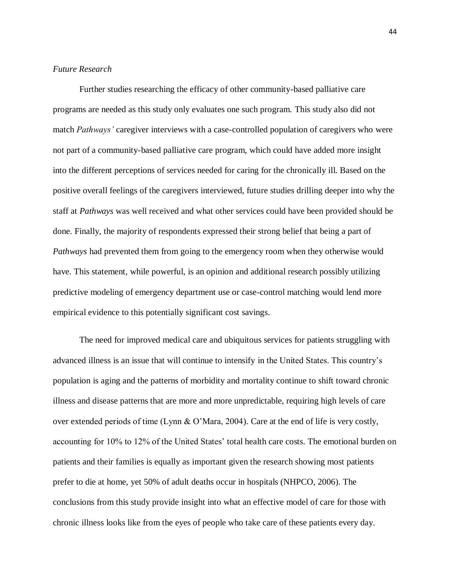## *Future Research*

Further studies researching the efficacy of other community-based palliative care programs are needed as this study only evaluates one such program. This study also did not match *Pathways'* caregiver interviews with a case-controlled population of caregivers who were not part of a community-based palliative care program, which could have added more insight into the different perceptions of services needed for caring for the chronically ill. Based on the positive overall feelings of the caregivers interviewed, future studies drilling deeper into why the staff at *Pathways* was well received and what other services could have been provided should be done. Finally, the majority of respondents expressed their strong belief that being a part of *Pathways* had prevented them from going to the emergency room when they otherwise would have. This statement, while powerful, is an opinion and additional research possibly utilizing predictive modeling of emergency department use or case-control matching would lend more empirical evidence to this potentially significant cost savings.

The need for improved medical care and ubiquitous services for patients struggling with advanced illness is an issue that will continue to intensify in the United States. This country's population is aging and the patterns of morbidity and mortality continue to shift toward chronic illness and disease patterns that are more and more unpredictable, requiring high levels of care over extended periods of time (Lynn & O'Mara, 2004). Care at the end of life is very costly, accounting for 10% to 12% of the United States' total health care costs. The emotional burden on patients and their families is equally as important given the research showing most patients prefer to die at home, yet 50% of adult deaths occur in hospitals (NHPCO, 2006). The conclusions from this study provide insight into what an effective model of care for those with chronic illness looks like from the eyes of people who take care of these patients every day.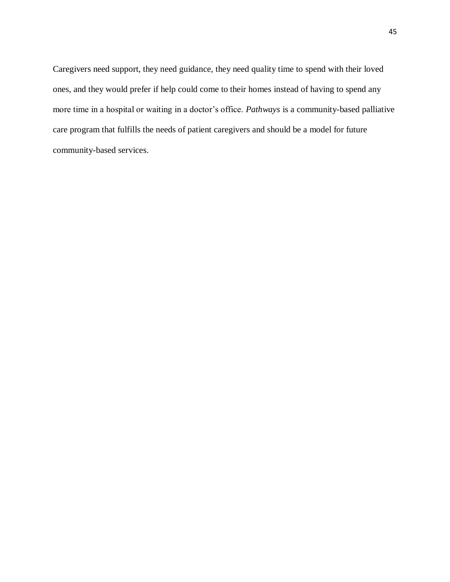Caregivers need support, they need guidance, they need quality time to spend with their loved ones, and they would prefer if help could come to their homes instead of having to spend any more time in a hospital or waiting in a doctor's office. *Pathways* is a community-based palliative care program that fulfills the needs of patient caregivers and should be a model for future community-based services.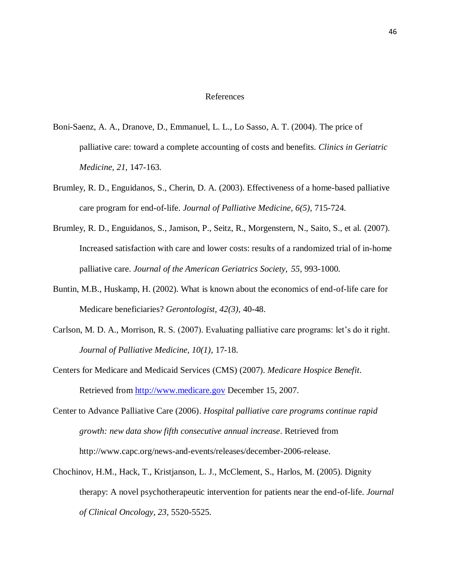#### References

- Boni-Saenz, A. A., Dranove, D., Emmanuel, L. L., Lo Sasso, A. T. (2004). The price of palliative care: toward a complete accounting of costs and benefits. *Clinics in Geriatric Medicine, 21,* 147-163.
- Brumley, R. D., Enguidanos, S., Cherin, D. A. (2003). Effectiveness of a home-based palliative care program for end-of-life. *Journal of Palliative Medicine, 6(5),* 715-724.
- Brumley, R. D., Enguidanos, S., Jamison, P., Seitz, R., Morgenstern, N., Saito, S., et al. (2007). Increased satisfaction with care and lower costs: results of a randomized trial of in-home palliative care. *Journal of the American Geriatrics Society, 55,* 993-1000.
- Buntin, M.B., Huskamp, H. (2002). What is known about the economics of end-of-life care for Medicare beneficiaries? *Gerontologist, 42(3),* 40-48.
- Carlson, M. D. A., Morrison, R. S. (2007). Evaluating palliative care programs: let's do it right. *Journal of Palliative Medicine, 10(1)*, 17-18.
- Centers for Medicare and Medicaid Services (CMS) (2007). *Medicare Hospice Benefit*. Retrieved from [http://www.medicare.gov](http://www.medicare.gov/) December 15, 2007.
- Center to Advance Palliative Care (2006). *Hospital palliative care programs continue rapid growth: new data show fifth consecutive annual increase*. Retrieved from http://www.capc.org/news-and-events/releases/december-2006-release.
- Chochinov, H.M., Hack, T., Kristjanson, L. J., McClement, S., Harlos, M. (2005). Dignity therapy: A novel psychotherapeutic intervention for patients near the end-of-life. *Journal of Clinical Oncology, 23,* 5520-5525.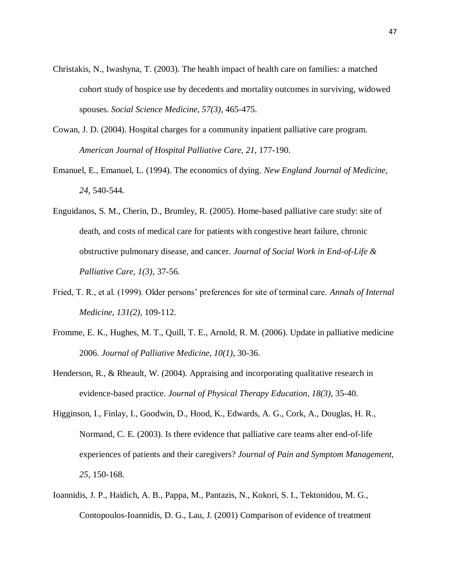- Christakis, N., Iwashyna, T. (2003). The health impact of health care on families: a matched cohort study of hospice use by decedents and mortality outcomes in surviving, widowed spouses. *Social Science Medicine, 57(3),* 465-475.
- Cowan, J. D. (2004). Hospital charges for a community inpatient palliative care program. *American Journal of Hospital Palliative Care, 21,* 177-190.
- Emanuel, E., Emanuel, L. (1994). The economics of dying. *New England Journal of Medicine, 24,* 540-544.
- Enguidanos, S. M., Cherin, D., Brumley, R. (2005). Home-based palliative care study: site of death, and costs of medical care for patients with congestive heart failure, chronic obstructive pulmonary disease, and cancer. *Journal of Social Work in End-of-Life & Palliative Care, 1(3),* 37-56.
- Fried, T. R., et al. (1999). Older persons' preferences for site of terminal care. *Annals of Internal Medicine, 131(2),* 109-112.
- Fromme, E. K., Hughes, M. T., Quill, T. E., Arnold, R. M. (2006). Update in palliative medicine 2006. *Journal of Palliative Medicine, 10(1)*, 30-36.
- Henderson, R., & Rheault, W. (2004). Appraising and incorporating qualitative research in evidence-based practice. *Journal of Physical Therapy Education, 18(3),* 35-40.
- Higginson, I., Finlay, I., Goodwin, D., Hood, K., Edwards, A. G., Cork, A., Douglas, H. R., Normand, C. E. (2003). Is there evidence that palliative care teams alter end-of-life experiences of patients and their caregivers? *Journal of Pain and Symptom Management, 25,* 150-168.
- Ioannidis, J. P., Haidich, A. B., Pappa, M., Pantazis, N., Kokori, S. I., Tektonidou, M. G., Contopoulos-Ioannidis, D. G., Lau, J. (2001) Comparison of evidence of treatment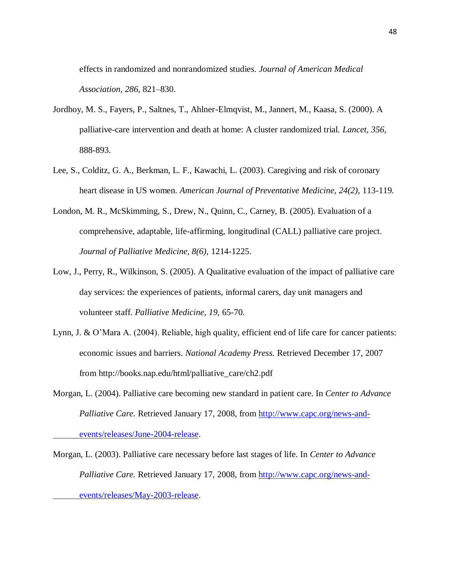effects in randomized and nonrandomized studies. *Journal of American Medical Association, 286,* 821–830.

- Jordhoy, M. S., Fayers, P., Saltnes, T., Ahlner-Elmqvist, M., Jannert, M., Kaasa, S. (2000). A palliative-care intervention and death at home: A cluster randomized trial. *Lancet, 356,* 888-893.
- Lee, S., Colditz, G. A., Berkman, L. F., Kawachi, L. (2003). Caregiving and risk of coronary heart disease in US women. *American Journal of Preventative Medicine, 24(2),* 113-119.
- London, M. R., McSkimming, S., Drew, N., Quinn, C., Carney, B. (2005). Evaluation of a comprehensive, adaptable, life-affirming, longitudinal (CALL) palliative care project. *Journal of Palliative Medicine, 8(6),* 1214-1225.
- Low, J., Perry, R., Wilkinson, S. (2005). A Qualitative evaluation of the impact of palliative care day services: the experiences of patients, informal carers, day unit managers and volunteer staff. *Palliative Medicine, 19,* 65-70.
- Lynn, J. & O'Mara A. (2004). Reliable, high quality, efficient end of life care for cancer patients: economic issues and barriers. *National Academy Press.* Retrieved December 17, 2007 from http://books.nap.edu/html/palliative\_care/ch2.pdf
- Morgan, L. (2004). Palliative care becoming new standard in patient care. In *Center to Advance Palliative Care.* Retrieved January 17, 2008, from [http://www.capc.org/news-and](http://www.capc.org/news-and-events/releases/June-2004-release)[events/releases/June-2004-release.](http://www.capc.org/news-and-events/releases/June-2004-release)
- Morgan, L. (2003). Palliative care necessary before last stages of life. In *Center to Advance Palliative Care.* Retrieved January 17, 2008, from [http://www.capc.org/news-and](http://www.capc.org/news-and-events/releases/May-2003-release)[events/releases/May-2003-release.](http://www.capc.org/news-and-events/releases/May-2003-release)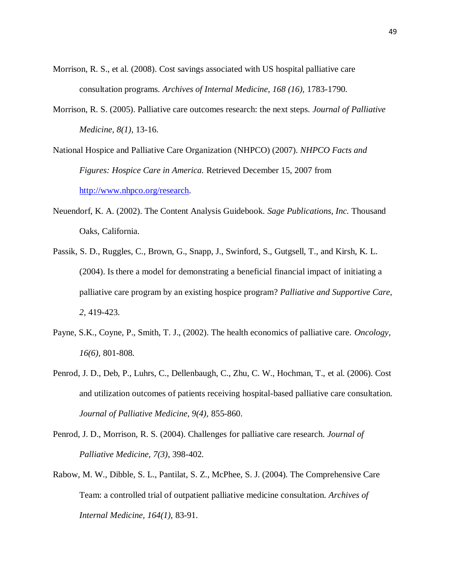- Morrison, R. S., et al. (2008). Cost savings associated with US hospital palliative care consultation programs. *Archives of Internal Medicine, 168 (16),* 1783-1790.
- Morrison, R. S. (2005). Palliative care outcomes research: the next steps. *Journal of Palliative Medicine, 8(1),* 13-16.
- National Hospice and Palliative Care Organization (NHPCO) (2007). *NHPCO Facts and Figures: Hospice Care in America.* Retrieved December 15, 2007 from [http://www.nhpco.org/research.](http://www.nhpco.org/research)
- Neuendorf, K. A. (2002). The Content Analysis Guidebook. *Sage Publications, Inc.* Thousand Oaks, California.
- Passik, S. D., Ruggles, C., Brown, G., Snapp, J., Swinford, S., Gutgsell, T., and Kirsh, K. L. (2004). Is there a model for demonstrating a beneficial financial impact of initiating a palliative care program by an existing hospice program? *Palliative and Supportive Care, 2,* 419-423.
- Payne, S.K., Coyne, P., Smith, T. J., (2002). The health economics of palliative care. *Oncology, 16(6),* 801-808.
- Penrod, J. D., Deb, P., Luhrs, C., Dellenbaugh, C., Zhu, C. W., Hochman, T., et al. (2006). Cost and utilization outcomes of patients receiving hospital-based palliative care consultation. *Journal of Palliative Medicine, 9(4),* 855-860.
- Penrod, J. D., Morrison, R. S. (2004). Challenges for palliative care research. *Journal of Palliative Medicine, 7(3)*, 398-402.
- Rabow, M. W., Dibble, S. L., Pantilat, S. Z., McPhee, S. J. (2004). The Comprehensive Care Team: a controlled trial of outpatient palliative medicine consultation. *Archives of Internal Medicine, 164(1),* 83-91.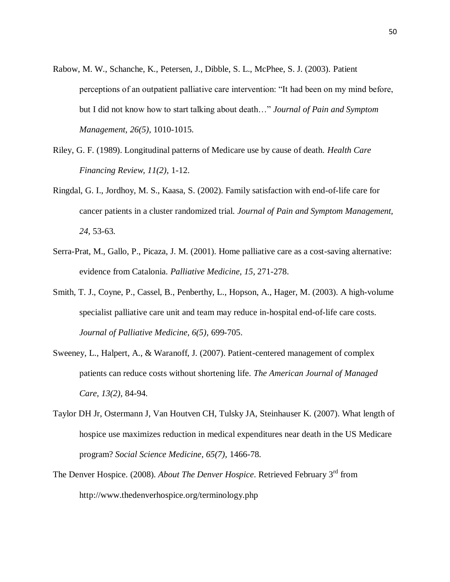- Rabow, M. W., Schanche, K., Petersen, J., Dibble, S. L., McPhee, S. J. (2003). Patient perceptions of an outpatient palliative care intervention: "It had been on my mind before, but I did not know how to start talking about death…" *Journal of Pain and Symptom Management, 26(5),* 1010-1015.
- Riley, G. F. (1989). Longitudinal patterns of Medicare use by cause of death. *Health Care Financing Review, 11(2),* 1-12.
- Ringdal, G. I., Jordhoy, M. S., Kaasa, S. (2002). Family satisfaction with end-of-life care for cancer patients in a cluster randomized trial. *Journal of Pain and Symptom Management, 24,* 53-63.
- Serra-Prat, M., Gallo, P., Picaza, J. M. (2001). Home palliative care as a cost-saving alternative: evidence from Catalonia. *Palliative Medicine, 15,* 271-278.
- Smith, T. J., Coyne, P., Cassel, B., Penberthy, L., Hopson, A., Hager, M. (2003). A high-volume specialist palliative care unit and team may reduce in-hospital end-of-life care costs. *Journal of Palliative Medicine, 6(5),* 699-705.
- Sweeney, L., Halpert, A., & Waranoff, J. (2007). Patient-centered management of complex patients can reduce costs without shortening life. *The American Journal of Managed Care, 13(2)*, 84-94.
- Taylor DH Jr, Ostermann J, Van Houtven CH, Tulsky JA, Steinhauser K. (2007). What length of hospice use maximizes reduction in medical expenditures near death in the US Medicare program? *Social Science Medicine, 65(7),* 1466-78.
- The Denver Hospice. (2008). *About The Denver Hospice*. Retrieved February 3rd from http://www.thedenverhospice.org/terminology.php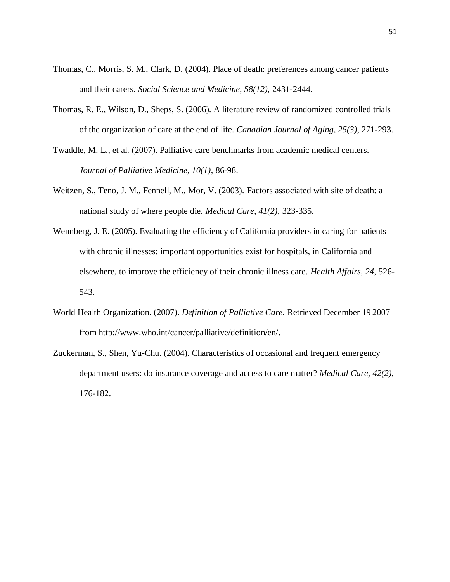- Thomas, C., Morris, S. M., Clark, D. (2004). Place of death: preferences among cancer patients and their carers. *Social Science and Medicine, 58(12),* 2431-2444.
- Thomas, R. E., Wilson, D., Sheps, S. (2006). A literature review of randomized controlled trials of the organization of care at the end of life. *Canadian Journal of Aging, 25(3),* 271-293.
- Twaddle, M. L., et al. (2007). Palliative care benchmarks from academic medical centers. *Journal of Palliative Medicine, 10(1)*, 86-98.
- Weitzen, S., Teno, J. M., Fennell, M., Mor, V. (2003). Factors associated with site of death: a national study of where people die. *Medical Care, 41(2),* 323-335.
- Wennberg, J. E. (2005). Evaluating the efficiency of California providers in caring for patients with chronic illnesses: important opportunities exist for hospitals, in California and elsewhere, to improve the efficiency of their chronic illness care. *Health Affairs, 24,* 526- 543.
- World Health Organization. (2007). *Definition of Palliative Care.* Retrieved December 19 2007 from http://www.who.int/cancer/palliative/definition/en/.
- Zuckerman, S., Shen, Yu-Chu. (2004). Characteristics of occasional and frequent emergency department users: do insurance coverage and access to care matter? *Medical Care, 42(2),* 176-182.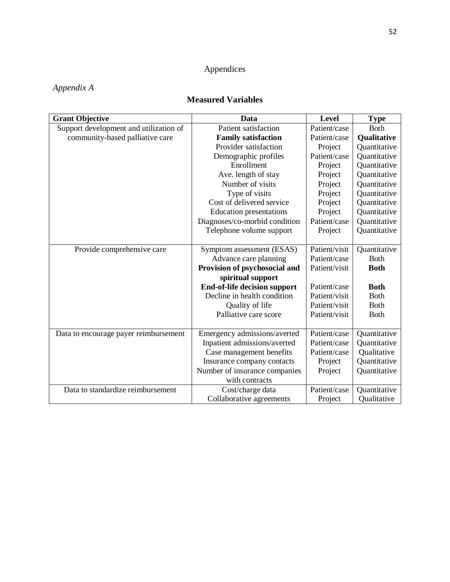## Appendices

## *Appendix A*

## **Measured Variables**

| <b>Grant Objective</b>                 | Data                           | Level         | <b>Type</b>  |
|----------------------------------------|--------------------------------|---------------|--------------|
| Support development and utilization of | Patient satisfaction           | Patient/case  | <b>Both</b>  |
| community-based palliative care        | <b>Family satisfaction</b>     | Patient/case  | Qualitative  |
|                                        | Provider satisfaction          | Project       | Quantitative |
|                                        | Demographic profiles           | Patient/case  | Quantitative |
|                                        | Enrollment                     | Project       | Quantitative |
|                                        | Ave. length of stay            | Project       | Quantitative |
|                                        | Number of visits               | Project       | Quantitative |
|                                        | Type of visits                 | Project       | Quantitative |
|                                        | Cost of delivered service      | Project       | Quantitative |
|                                        | <b>Education</b> presentations | Project       | Quantitative |
|                                        | Diagnoses/co-morbid condition  | Patient/case  | Quantitative |
|                                        | Telephone volume support       | Project       | Quantitative |
|                                        |                                |               |              |
| Provide comprehensive care             | Symptom assessment (ESAS)      | Patient/visit | Quantitative |
|                                        | Advance care planning          | Patient/case  | <b>Both</b>  |
|                                        | Provision of psychosocial and  | Patient/visit | <b>Both</b>  |
|                                        | spiritual support              |               |              |
|                                        | End-of-life decision support   | Patient/case  | <b>Both</b>  |
|                                        | Decline in health condition    | Patient/visit | <b>Both</b>  |
|                                        | Quality of life                | Patient/visit | <b>Both</b>  |
|                                        | Palliative care score          | Patient/visit | <b>Both</b>  |
|                                        |                                |               |              |
| Data to encourage payer reimbursement  | Emergency admissions/averted   | Patient/case  | Quantitative |
|                                        | Inpatient admissions/averted   | Patient/case  | Quantitative |
|                                        | Case management benefits       | Patient/case  | Qualitative  |
|                                        | Insurance company contacts     | Project       | Quantitative |
|                                        | Number of insurance companies  | Project       | Quantitative |
|                                        | with contracts                 |               |              |
| Data to standardize reimbursement      | Cost/charge data               | Patient/case  | Quantitative |
|                                        | Collaborative agreements       | Project       | Qualitative  |